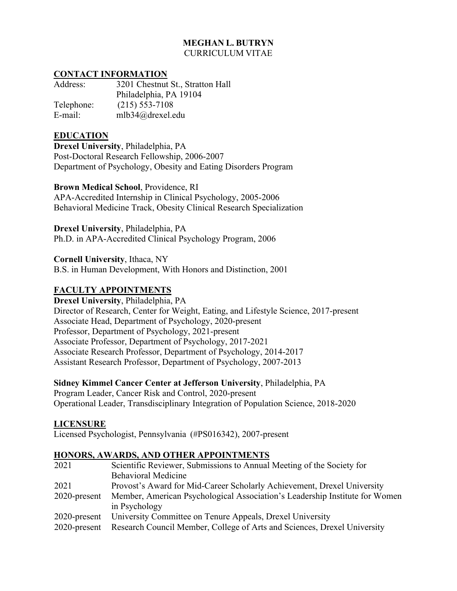# **MEGHAN L. BUTRYN** CURRICULUM VITAE

#### **CONTACT INFORMATION**

| Address:   | 3201 Chestnut St., Stratton Hall |
|------------|----------------------------------|
|            | Philadelphia, PA 19104           |
| Telephone: | $(215)$ 553-7108                 |
| E-mail:    | mlb34@drexel.edu                 |

# **EDUCATION**

**Drexel University**, Philadelphia, PA Post-Doctoral Research Fellowship, 2006-2007 Department of Psychology, Obesity and Eating Disorders Program

#### **Brown Medical School**, Providence, RI

APA-Accredited Internship in Clinical Psychology, 2005-2006 Behavioral Medicine Track, Obesity Clinical Research Specialization

#### **Drexel University**, Philadelphia, PA

Ph.D. in APA-Accredited Clinical Psychology Program, 2006

**Cornell University**, Ithaca, NY B.S. in Human Development, With Honors and Distinction, 2001

## **FACULTY APPOINTMENTS**

**Drexel University**, Philadelphia, PA Director of Research, Center for Weight, Eating, and Lifestyle Science, 2017-present Associate Head, Department of Psychology, 2020-present Professor, Department of Psychology, 2021-present Associate Professor, Department of Psychology, 2017-2021 Associate Research Professor, Department of Psychology, 2014-2017 Assistant Research Professor, Department of Psychology, 2007-2013

#### **Sidney Kimmel Cancer Center at Jefferson University**, Philadelphia, PA

Program Leader, Cancer Risk and Control, 2020-present Operational Leader, Transdisciplinary Integration of Population Science, 2018-2020

## **LICENSURE**

Licensed Psychologist, Pennsylvania (#PS016342), 2007-present

## **HONORS, AWARDS, AND OTHER APPOINTMENTS**

| 2021            | Scientific Reviewer, Submissions to Annual Meeting of the Society for                 |  |  |
|-----------------|---------------------------------------------------------------------------------------|--|--|
|                 | <b>Behavioral Medicine</b>                                                            |  |  |
| 2021            | Provost's Award for Mid-Career Scholarly Achievement, Drexel University               |  |  |
| $2020$ -present | Member, American Psychological Association's Leadership Institute for Women           |  |  |
|                 | in Psychology                                                                         |  |  |
| 2020-present    | University Committee on Tenure Appeals, Drexel University                             |  |  |
|                 | 2020-present Research Council Member, College of Arts and Sciences, Drexel University |  |  |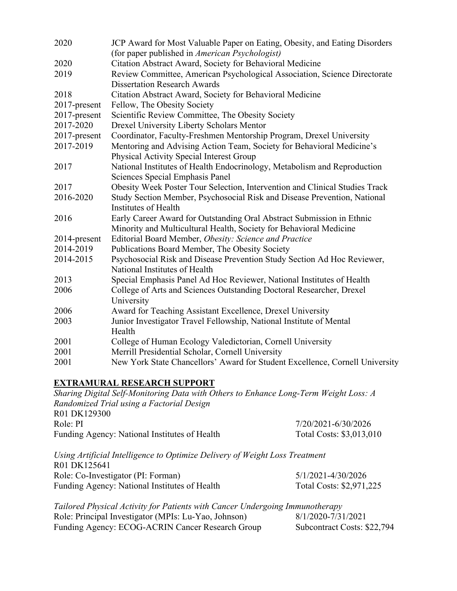| 2020         | JCP Award for Most Valuable Paper on Eating, Obesity, and Eating Disorders   |  |  |
|--------------|------------------------------------------------------------------------------|--|--|
|              | (for paper published in American Psychologist)                               |  |  |
| 2020         | Citation Abstract Award, Society for Behavioral Medicine                     |  |  |
| 2019         | Review Committee, American Psychological Association, Science Directorate    |  |  |
|              | <b>Dissertation Research Awards</b>                                          |  |  |
| 2018         | Citation Abstract Award, Society for Behavioral Medicine                     |  |  |
| 2017-present | Fellow, The Obesity Society                                                  |  |  |
| 2017-present | Scientific Review Committee, The Obesity Society                             |  |  |
| 2017-2020    | <b>Drexel University Liberty Scholars Mentor</b>                             |  |  |
| 2017-present | Coordinator, Faculty-Freshmen Mentorship Program, Drexel University          |  |  |
| 2017-2019    | Mentoring and Advising Action Team, Society for Behavioral Medicine's        |  |  |
|              | Physical Activity Special Interest Group                                     |  |  |
| 2017         | National Institutes of Health Endocrinology, Metabolism and Reproduction     |  |  |
|              | Sciences Special Emphasis Panel                                              |  |  |
| 2017         | Obesity Week Poster Tour Selection, Intervention and Clinical Studies Track  |  |  |
| 2016-2020    | Study Section Member, Psychosocial Risk and Disease Prevention, National     |  |  |
|              | Institutes of Health                                                         |  |  |
| 2016         | Early Career Award for Outstanding Oral Abstract Submission in Ethnic        |  |  |
|              | Minority and Multicultural Health, Society for Behavioral Medicine           |  |  |
| 2014-present | Editorial Board Member, Obesity: Science and Practice                        |  |  |
| 2014-2019    | Publications Board Member, The Obesity Society                               |  |  |
| 2014-2015    | Psychosocial Risk and Disease Prevention Study Section Ad Hoc Reviewer,      |  |  |
|              | National Institutes of Health                                                |  |  |
| 2013         | Special Emphasis Panel Ad Hoc Reviewer, National Institutes of Health        |  |  |
| 2006         | College of Arts and Sciences Outstanding Doctoral Researcher, Drexel         |  |  |
|              | University                                                                   |  |  |
| 2006         | Award for Teaching Assistant Excellence, Drexel University                   |  |  |
| 2003         | Junior Investigator Travel Fellowship, National Institute of Mental          |  |  |
|              | Health                                                                       |  |  |
| 2001         | College of Human Ecology Valedictorian, Cornell University                   |  |  |
| 2001         | Merrill Presidential Scholar, Cornell University                             |  |  |
| 2001         | New York State Chancellors' Award for Student Excellence, Cornell University |  |  |

## **EXTRAMURAL RESEARCH SUPPORT**

*Sharing Digital Self-Monitoring Data with Others to Enhance Long-Term Weight Loss: A Randomized Trial using a Factorial Design* R01 DK129300 Role: PI 7/20/2021-6/30/2026 Funding Agency: National Institutes of Health Total Costs: \$3,013,010 *Using Artificial Intelligence to Optimize Delivery of Weight Loss Treatment* R01 DK125641 Role: Co-Investigator (PI: Forman) 5/1/2021-4/30/2026

| ROIC. CO-HIVESUgator (11. FORMail)            | 2/1/2021-7/20/2020       |
|-----------------------------------------------|--------------------------|
| Funding Agency: National Institutes of Health | Total Costs: \$2,971,225 |
|                                               |                          |

*Tailored Physical Activity for Patients with Cancer Undergoing Immunotherapy*  Role: Principal Investigator (MPIs: Lu-Yao, Johnson) Funding Agency: ECOG-ACRIN Cancer Research Group Subcontract Costs: \$22,794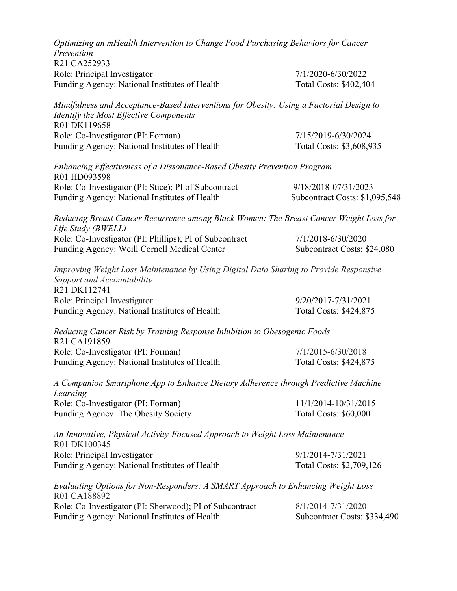| Optimizing an mHealth Intervention to Change Food Purchasing Behaviors for Cancer<br>Prevention  |                                                                                         |
|--------------------------------------------------------------------------------------------------|-----------------------------------------------------------------------------------------|
| R21 CA252933                                                                                     |                                                                                         |
| Role: Principal Investigator                                                                     | 7/1/2020-6/30/2022                                                                      |
| Funding Agency: National Institutes of Health                                                    | Total Costs: \$402,404                                                                  |
| Identify the Most Effective Components<br>R01 DK119658                                           | Mindfulness and Acceptance-Based Interventions for Obesity: Using a Factorial Design to |
| Role: Co-Investigator (PI: Forman)                                                               | 7/15/2019-6/30/2024                                                                     |
| Funding Agency: National Institutes of Health                                                    | Total Costs: \$3,608,935                                                                |
| Enhancing Effectiveness of a Dissonance-Based Obesity Prevention Program<br>R01 HD093598         |                                                                                         |
| Role: Co-Investigator (PI: Stice); PI of Subcontract                                             | 9/18/2018-07/31/2023                                                                    |
| Funding Agency: National Institutes of Health                                                    | Subcontract Costs: \$1,095,548                                                          |
| Life Study (BWELL)                                                                               | Reducing Breast Cancer Recurrence among Black Women: The Breast Cancer Weight Loss for  |
| Role: Co-Investigator (PI: Phillips); PI of Subcontract                                          | 7/1/2018-6/30/2020                                                                      |
| Funding Agency: Weill Cornell Medical Center                                                     | Subcontract Costs: \$24,080                                                             |
| Support and Accountability<br>R21 DK112741                                                       | Improving Weight Loss Maintenance by Using Digital Data Sharing to Provide Responsive   |
| Role: Principal Investigator                                                                     | 9/20/2017-7/31/2021                                                                     |
| Funding Agency: National Institutes of Health                                                    | Total Costs: \$424,875                                                                  |
| Reducing Cancer Risk by Training Response Inhibition to Obesogenic Foods<br>R21 CA191859         |                                                                                         |
| Role: Co-Investigator (PI: Forman)                                                               | 7/1/2015-6/30/2018                                                                      |
| Funding Agency: National Institutes of Health                                                    | Total Costs: \$424,875                                                                  |
| Learning                                                                                         | A Companion Smartphone App to Enhance Dietary Adherence through Predictive Machine      |
| Role: Co-Investigator (PI: Forman)                                                               | 11/1/2014-10/31/2015                                                                    |
| Funding Agency: The Obesity Society                                                              | Total Costs: \$60,000                                                                   |
| An Innovative, Physical Activity-Focused Approach to Weight Loss Maintenance<br>R01 DK100345     |                                                                                         |
| Role: Principal Investigator                                                                     | 9/1/2014-7/31/2021                                                                      |
| Funding Agency: National Institutes of Health                                                    | Total Costs: \$2,709,126                                                                |
| Evaluating Options for Non-Responders: A SMART Approach to Enhancing Weight Loss<br>R01 CA188892 |                                                                                         |
| Role: Co-Investigator (PI: Sherwood); PI of Subcontract                                          | 8/1/2014-7/31/2020                                                                      |
| Funding Agency: National Institutes of Health                                                    | Subcontract Costs: \$334,490                                                            |
|                                                                                                  |                                                                                         |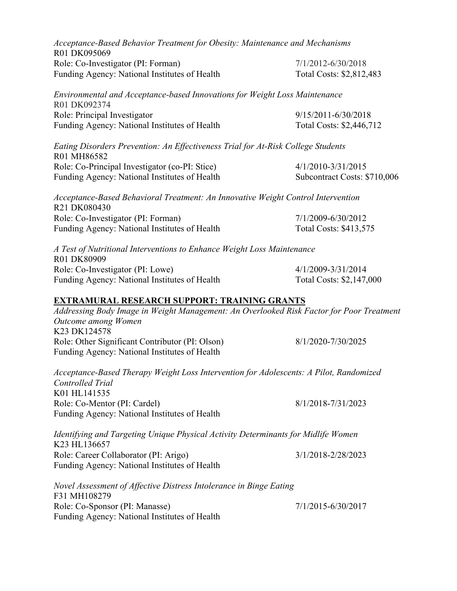| Acceptance-Based Behavior Treatment for Obesity: Maintenance and Mechanisms<br>R01 DK095069                                     |                              |
|---------------------------------------------------------------------------------------------------------------------------------|------------------------------|
| Role: Co-Investigator (PI: Forman)                                                                                              | 7/1/2012-6/30/2018           |
| Funding Agency: National Institutes of Health                                                                                   | Total Costs: \$2,812,483     |
| Environmental and Acceptance-based Innovations for Weight Loss Maintenance<br>R01 DK092374                                      |                              |
| Role: Principal Investigator                                                                                                    | 9/15/2011-6/30/2018          |
| Funding Agency: National Institutes of Health                                                                                   | Total Costs: \$2,446,712     |
| Eating Disorders Prevention: An Effectiveness Trial for At-Risk College Students<br>R01 MH86582                                 |                              |
| Role: Co-Principal Investigator (co-PI: Stice)                                                                                  | 4/1/2010-3/31/2015           |
| Funding Agency: National Institutes of Health                                                                                   | Subcontract Costs: \$710,006 |
| Acceptance-Based Behavioral Treatment: An Innovative Weight Control Intervention<br>R21 DK080430                                |                              |
| Role: Co-Investigator (PI: Forman)                                                                                              | 7/1/2009-6/30/2012           |
| Funding Agency: National Institutes of Health                                                                                   | Total Costs: \$413,575       |
| A Test of Nutritional Interventions to Enhance Weight Loss Maintenance<br>R01 DK80909                                           |                              |
| Role: Co-Investigator (PI: Lowe)                                                                                                | 4/1/2009-3/31/2014           |
| Funding Agency: National Institutes of Health                                                                                   | Total Costs: \$2,147,000     |
| <b>EXTRAMURAL RESEARCH SUPPORT: TRAINING GRANTS</b>                                                                             |                              |
| Addressing Body Image in Weight Management: An Overlooked Risk Factor for Poor Treatment<br>Outcome among Women<br>K23 DK124578 |                              |
| Role: Other Significant Contributor (PI: Olson)                                                                                 | 8/1/2020-7/30/2025           |
| Funding Agency: National Institutes of Health                                                                                   |                              |
| Acceptance-Based Therapy Weight Loss Intervention for Adolescents: A Pilot, Randomized<br>Controlled Trial                      |                              |
| K01 HL141535                                                                                                                    |                              |
| Role: Co-Mentor (PI: Cardel)<br>Funding Agency: National Institutes of Health                                                   | 8/1/2018-7/31/2023           |
| Identifying and Targeting Unique Physical Activity Determinants for Midlife Women<br>K23 HL136657                               |                              |
| Role: Career Collaborator (PI: Arigo)                                                                                           | 3/1/2018-2/28/2023           |
| Funding Agency: National Institutes of Health                                                                                   |                              |
| Novel Assessment of Affective Distress Intolerance in Binge Eating<br>F31 MH108279                                              |                              |
| Role: Co-Sponsor (PI: Manasse)                                                                                                  | 7/1/2015-6/30/2017           |

Funding Agency: National Institutes of Health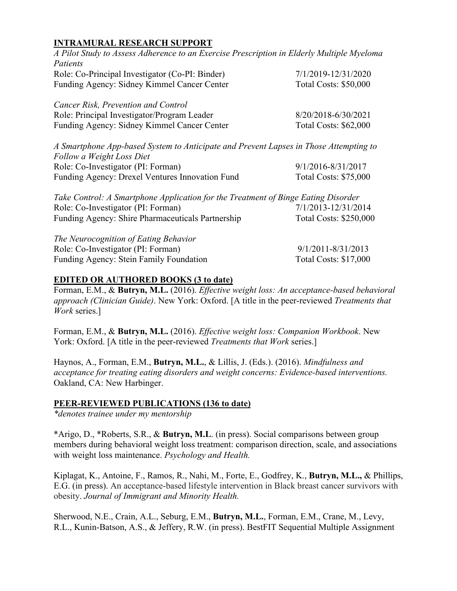# **INTRAMURAL RESEARCH SUPPORT**

| A Pilot Study to Assess Adherence to an Exercise Prescription in Elderly Multiple Myeloma                          |                              |
|--------------------------------------------------------------------------------------------------------------------|------------------------------|
| Patients                                                                                                           |                              |
| Role: Co-Principal Investigator (Co-PI: Binder)                                                                    | 7/1/2019-12/31/2020          |
| Funding Agency: Sidney Kimmel Cancer Center                                                                        | <b>Total Costs: \$50,000</b> |
| Cancer Risk, Prevention and Control                                                                                |                              |
| Role: Principal Investigator/Program Leader                                                                        | 8/20/2018-6/30/2021          |
| Funding Agency: Sidney Kimmel Cancer Center                                                                        | <b>Total Costs: \$62,000</b> |
| A Smartphone App-based System to Anticipate and Prevent Lapses in Those Attempting to<br>Follow a Weight Loss Diet |                              |
| Role: Co-Investigator (PI: Forman)                                                                                 | 9/1/2016-8/31/2017           |
| Funding Agency: Drexel Ventures Innovation Fund                                                                    | Total Costs: \$75,000        |
| Take Control: A Smartphone Application for the Treatment of Binge Eating Disorder                                  |                              |
| Role: Co-Investigator (PI: Forman)                                                                                 | 7/1/2013-12/31/2014          |
| Funding Agency: Shire Pharmaceuticals Partnership                                                                  | Total Costs: \$250,000       |
| The Neurocognition of Eating Behavior                                                                              |                              |
| Role: Co-Investigator (PI: Forman)                                                                                 | $9/1/2011 - 8/31/2013$       |
| Funding Agency: Stein Family Foundation                                                                            | <b>Total Costs: \$17,000</b> |

#### **EDITED OR AUTHORED BOOKS (3 to date)**

Forman, E.M., & **Butryn, M.L.** (2016). *Effective weight loss: An acceptance-based behavioral approach (Clinician Guide)*. New York: Oxford. [A title in the peer-reviewed *Treatments that Work* series.]

Forman, E.M., & **Butryn, M.L.** (2016). *Effective weight loss: Companion Workbook*. New York: Oxford. [A title in the peer-reviewed *Treatments that Work* series.]

Haynos, A., Forman, E.M., **Butryn, M.L.**, & Lillis, J. (Eds.). (2016). *Mindfulness and acceptance for treating eating disorders and weight concerns: Evidence-based interventions.* Oakland, CA: New Harbinger.

#### **PEER-REVIEWED PUBLICATIONS (136 to date)**

*\*denotes trainee under my mentorship*

\*Arigo, D., \*Roberts, S.R., & **Butryn, M.L**. (in press). Social comparisons between group members during behavioral weight loss treatment: comparison direction, scale, and associations with weight loss maintenance. *Psychology and Health.*

Kiplagat, K., Antoine, F., Ramos, R., Nahi, M., Forte, E., Godfrey, K., **Butryn, M.L.,** & Phillips, E.G. (in press). An acceptance-based lifestyle intervention in Black breast cancer survivors with obesity. *Journal of Immigrant and Minority Health.*

Sherwood, N.E., Crain, A.L., Seburg, E.M., **Butryn, M.L.**, Forman, E.M., Crane, M., Levy, R.L., Kunin-Batson, A.S., & Jeffery, R.W. (in press). BestFIT Sequential Multiple Assignment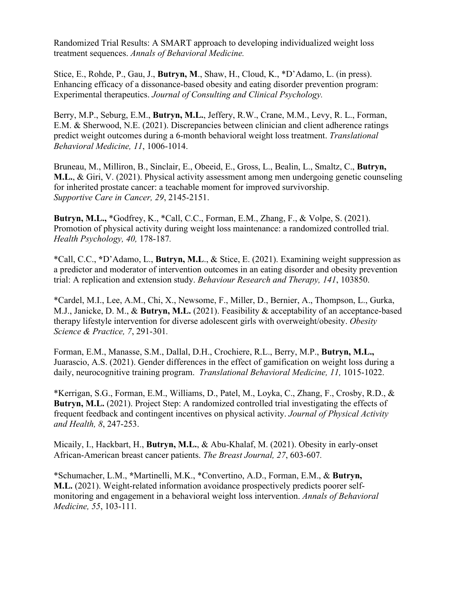Randomized Trial Results: A SMART approach to developing individualized weight loss treatment sequences. *Annals of Behavioral Medicine.*

Stice, E., Rohde, P., Gau, J., **Butryn, M**., Shaw, H., Cloud, K., \*D'Adamo, L. (in press). Enhancing efficacy of a dissonance-based obesity and eating disorder prevention program: Experimental therapeutics. *Journal of Consulting and Clinical Psychology.*

Berry, M.P., Seburg, E.M., **Butryn, M.L.**, Jeffery, R.W., Crane, M.M., Levy, R. L., Forman, E.M. & Sherwood, N.E. (2021). Discrepancies between clinician and client adherence ratings predict weight outcomes during a 6-month behavioral weight loss treatment. *Translational Behavioral Medicine, 11*, 1006-1014.

Bruneau, M., Milliron, B., Sinclair, E., Obeeid, E., Gross, L., Bealin, L., Smaltz, C., **Butryn, M.L.**, & Giri, V. (2021). Physical activity assessment among men undergoing genetic counseling for inherited prostate cancer: a teachable moment for improved survivorship. *Supportive Care in Cancer, 29*, 2145-2151.

**Butryn, M.L.,** \*Godfrey, K., \*Call, C.C., Forman, E.M., Zhang, F., & Volpe, S. (2021). Promotion of physical activity during weight loss maintenance: a randomized controlled trial. *Health Psychology, 40,* 178-187*.*

\*Call, C.C., **\***D'Adamo, L., **Butryn, M.L**., & Stice, E. (2021). Examining weight suppression as a predictor and moderator of intervention outcomes in an eating disorder and obesity prevention trial: A replication and extension study. *Behaviour Research and Therapy, 141*, 103850.

\*Cardel, M.I., Lee, A.M., Chi, X., Newsome, F., Miller, D., Bernier, A., Thompson, L., Gurka, M.J., Janicke, D. M., & **Butryn, M.L.** (2021). Feasibility & acceptability of an acceptance-based therapy lifestyle intervention for diverse adolescent girls with overweight/obesity. *Obesity Science & Practice, 7*, 291-301*.*

Forman, E.M., Manasse, S.M., Dallal, D.H., Crochiere, R.L., Berry, M.P., **Butryn, M.L.,** Juarascio, A.S. (2021). Gender differences in the effect of gamification on weight loss during a daily, neurocognitive training program. *Translational Behavioral Medicine, 11,* 1015-1022.

\*Kerrigan, S.G., Forman, E.M., Williams, D., Patel, M., Loyka, C., Zhang, F., Crosby, R.D., & **Butryn, M.L.** (2021). Project Step: A randomized controlled trial investigating the effects of frequent feedback and contingent incentives on physical activity. *Journal of Physical Activity and Health, 8*, 247-253.

Micaily, I., Hackbart, H., **Butryn, M.L.**, & Abu-Khalaf, M. (2021). Obesity in early-onset African-American breast cancer patients. *The Breast Journal, 27*, 603-607*.*

\*Schumacher, L.M., **\***Martinelli, M.K., \*Convertino, A.D., Forman, E.M., & **Butryn, M.L.** (2021). Weight-related information avoidance prospectively predicts poorer selfmonitoring and engagement in a behavioral weight loss intervention. *Annals of Behavioral Medicine, 55*, 103-111*.*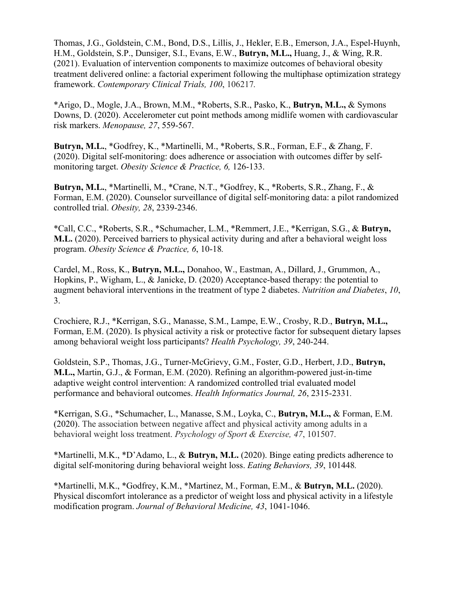Thomas, J.G., Goldstein, C.M., Bond, D.S., Lillis, J., Hekler, E.B., Emerson, J.A., Espel-Huynh, H.M., Goldstein, S.P., Dunsiger, S.I., Evans, E.W., **Butryn, M.L.,** Huang, J., & Wing, R.R. (2021). Evaluation of intervention components to maximize outcomes of behavioral obesity treatment delivered online: a factorial experiment following the multiphase optimization strategy framework. *Contemporary Clinical Trials, 100*, 106217*.*

\*Arigo, D., Mogle, J.A., Brown, M.M., \*Roberts, S.R., Pasko, K., **Butryn, M.L.,** & Symons Downs, D. (2020). Accelerometer cut point methods among midlife women with cardiovascular risk markers. *Menopause, 27*, 559-567.

**Butryn, M.L.**, \*Godfrey, K., \*Martinelli, M., \*Roberts, S.R., Forman, E.F., & Zhang, F. (2020). Digital self-monitoring: does adherence or association with outcomes differ by selfmonitoring target. *Obesity Science & Practice, 6,* 126-133.

**Butryn, M.L.**, \*Martinelli, M., \*Crane, N.T., \*Godfrey, K., \*Roberts, S.R., Zhang, F., & Forman, E.M. (2020). Counselor surveillance of digital self-monitoring data: a pilot randomized controlled trial. *Obesity, 28*, 2339-2346.

\*Call, C.C., \*Roberts, S.R., \*Schumacher, L.M., \*Remmert, J.E., \*Kerrigan, S.G., & **Butryn, M.L.** (2020). Perceived barriers to physical activity during and after a behavioral weight loss program. *Obesity Science & Practice, 6*, 10-18*.*

Cardel, M., Ross, K., **Butryn, M.L.,** Donahoo, W., Eastman, A., Dillard, J., Grummon, A., Hopkins, P., Wigham, L., & Janicke, D. (2020) Acceptance-based therapy: the potential to augment behavioral interventions in the treatment of type 2 diabetes. *Nutrition and Diabetes*, *10*, 3.

Crochiere, R.J., \*Kerrigan, S.G., Manasse, S.M., Lampe, E.W., Crosby, R.D., **Butryn, M.L.,** Forman, E.M. (2020). Is physical activity a risk or protective factor for subsequent dietary lapses among behavioral weight loss participants? *Health Psychology, 39*, 240-244.

Goldstein, S.P., Thomas, J.G., Turner-McGrievy, G.M., Foster, G.D., Herbert, J.D., **Butryn, M.L.,** Martin, G.J., & Forman, E.M. (2020). Refining an algorithm-powered just-in-time adaptive weight control intervention: A randomized controlled trial evaluated model performance and behavioral outcomes. *Health Informatics Journal, 26*, 2315-2331*.*

\*Kerrigan, S.G., \*Schumacher, L., Manasse, S.M., Loyka, C., **Butryn, M.L.,** & Forman, E.M. (2020). The association between negative affect and physical activity among adults in a behavioral weight loss treatment. *Psychology of Sport & Exercise, 47*, 101507.

\*Martinelli, M.K., \*D'Adamo, L., & **Butryn, M.L.** (2020). Binge eating predicts adherence to digital self-monitoring during behavioral weight loss. *Eating Behaviors, 39*, 101448*.*

\*Martinelli, M.K., \*Godfrey, K.M., \*Martinez, M., Forman, E.M., & **Butryn, M.L.** (2020). Physical discomfort intolerance as a predictor of weight loss and physical activity in a lifestyle modification program. *Journal of Behavioral Medicine, 43*, 1041-1046.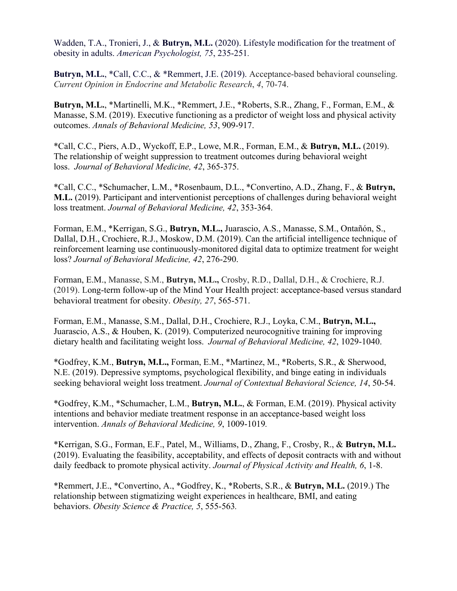Wadden, T.A., Tronieri, J., & **Butryn, M.L.** (2020). Lifestyle modification for the treatment of obesity in adults. *American Psychologist, 75*, 235-251*.*

**Butryn, M.L.**, \*Call, C.C., & \*Remmert, J.E. (2019). Acceptance-based behavioral counseling. *Current Opinion in Endocrine and Metabolic Research*, *4*, 70-74.

**Butryn, M.L.**, \*Martinelli, M.K., \*Remmert, J.E., \*Roberts, S.R., Zhang, F., Forman, E.M., & Manasse, S.M. (2019). Executive functioning as a predictor of weight loss and physical activity outcomes. *Annals of Behavioral Medicine, 53*, 909-917.

\*Call, C.C., Piers, A.D., Wyckoff, E.P., Lowe, M.R., Forman, E.M., & **Butryn, M.L.** (2019). The relationship of weight suppression to treatment outcomes during behavioral weight loss. *Journal of Behavioral Medicine, 42*, 365-375.

\*Call, C.C., \*Schumacher, L.M., \*Rosenbaum, D.L., \*Convertino, A.D., Zhang, F., & **Butryn, M.L.** (2019). Participant and interventionist perceptions of challenges during behavioral weight loss treatment. *Journal of Behavioral Medicine, 42*, 353-364.

Forman, E.M., \*Kerrigan, S.G., **Butryn, M.L.,** Juarascio, A.S., Manasse, S.M., Ontañón, S., Dallal, D.H., Crochiere, R.J., Moskow, D.M. (2019). Can the artificial intelligence technique of reinforcement learning use continuously-monitored digital data to optimize treatment for weight loss? *Journal of Behavioral Medicine, 42*, 276-290.

Forman, E.M., Manasse, S.M., **Butryn, M.L.,** Crosby, R.D., Dallal, D.H., & Crochiere, R.J. (2019). Long-term follow-up of the Mind Your Health project: acceptance-based versus standard behavioral treatment for obesity. *Obesity, 27*, 565-571.

Forman, E.M., Manasse, S.M., Dallal, D.H., Crochiere, R.J., Loyka, C.M., **Butryn, M.L.,** Juarascio, A.S., & Houben, K. (2019). Computerized neurocognitive training for improving dietary health and facilitating weight loss. *Journal of Behavioral Medicine, 42*, 1029-1040.

\*Godfrey, K.M., **Butryn, M.L.,** Forman, E.M., \*Martinez, M., \*Roberts, S.R., & Sherwood, N.E. (2019). Depressive symptoms, psychological flexibility, and binge eating in individuals seeking behavioral weight loss treatment. *Journal of Contextual Behavioral Science, 14*, 50-54.

\*Godfrey, K.M., \*Schumacher, L.M., **Butryn, M.L.**, & Forman, E.M. (2019). Physical activity intentions and behavior mediate treatment response in an acceptance-based weight loss intervention. *Annals of Behavioral Medicine, 9*, 1009-1019*.*

\*Kerrigan, S.G., Forman, E.F., Patel, M., Williams, D., Zhang, F., Crosby, R., & **Butryn, M.L.** (2019). Evaluating the feasibility, acceptability, and effects of deposit contracts with and without daily feedback to promote physical activity. *Journal of Physical Activity and Health, 6*, 1-8.

\*Remmert, J.E., \*Convertino, A., \*Godfrey, K., \*Roberts, S.R., & **Butryn, M.L.** (2019.) The relationship between stigmatizing weight experiences in healthcare, BMI, and eating behaviors. *Obesity Science & Practice, 5*, 555-563*.*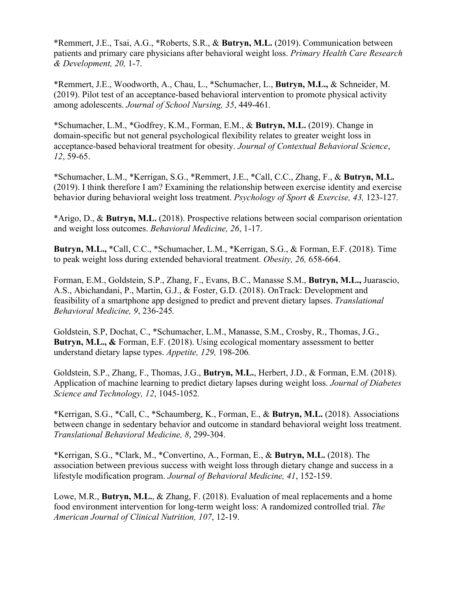\*Remmert, J.E., Tsai, A.G., \*Roberts, S.R., & **Butryn, M.L.** (2019). Communication between patients and primary care physicians after behavioral weight loss. *Primary Health Care Research & Development, 20,* 1-7.

\*Remmert, J.E., Woodworth, A., Chau, L., \*Schumacher, L., **Butryn, M.L.,** & Schneider, M. (2019). Pilot test of an acceptance-based behavioral intervention to promote physical activity among adolescents. *Journal of School Nursing, 35*, 449-461*.*

\*Schumacher, L.M., \*Godfrey, K.M., Forman, E.M., & **Butryn, M.L.** (2019). Change in domain-specific but not general psychological flexibility relates to greater weight loss in acceptance-based behavioral treatment for obesity. *Journal of Contextual Behavioral Science*, *12*, 59-65.

\*Schumacher, L.M., \*Kerrigan, S.G., \*Remmert, J.E., \*Call, C.C., Zhang, F., & **Butryn, M.L.** (2019). I think therefore I am? Examining the relationship between exercise identity and exercise behavior during behavioral weight loss treatment. *Psychology of Sport & Exercise, 43,* 123-127.

\*Arigo, D., & **Butryn, M.L.** (2018). Prospective relations between social comparison orientation and weight loss outcomes. *Behavioral Medicine, 26*, 1-17.

**Butryn, M.L.,** \*Call, C.C., \*Schumacher, L.M., \*Kerrigan, S.G., & Forman, E.F. (2018). Time to peak weight loss during extended behavioral treatment. *Obesity, 26,* 658-664.

Forman, E.M., Goldstein, S.P., Zhang, F., Evans, B.C., Manasse S.M., **Butryn, M.L.,** Juarascio, A.S., Abichandani, P., Martin, G.J., & Foster, G.D. (2018). OnTrack: Development and feasibility of a smartphone app designed to predict and prevent dietary lapses. *Translational Behavioral Medicine, 9*, 236-245*.*

Goldstein, S.P, Dochat, C., \*Schumacher, L.M., Manasse, S.M., Crosby, R., Thomas, J.G., **Butryn, M.L., &** Forman, E.F. (2018). Using ecological momentary assessment to better understand dietary lapse types. *Appetite, 129,* 198-206*.*

Goldstein, S.P., Zhang, F., Thomas, J.G., **Butryn, M.L.**, Herbert, J.D., & Forman, E.M. (2018). Application of machine learning to predict dietary lapses during weight loss. *Journal of Diabetes Science and Technology, 12*, 1045-1052*.*

\*Kerrigan, S.G., \*Call, C., \*Schaumberg, K., Forman, E., & **Butryn, M.L.** (2018). Associations between change in sedentary behavior and outcome in standard behavioral weight loss treatment. *Translational Behavioral Medicine, 8*, 299-304.

\*Kerrigan, S.G., \*Clark, M., \*Convertino, A., Forman, E., & **Butryn, M.L.** (2018). The association between previous success with weight loss through dietary change and success in a lifestyle modification program. *Journal of Behavioral Medicine, 41*, 152-159.

Lowe, M.R., **Butryn, M.L.**, & Zhang, F. (2018). Evaluation of meal replacements and a home food environment intervention for long-term weight loss: A randomized controlled trial. *The American Journal of Clinical Nutrition, 107*, 12-19.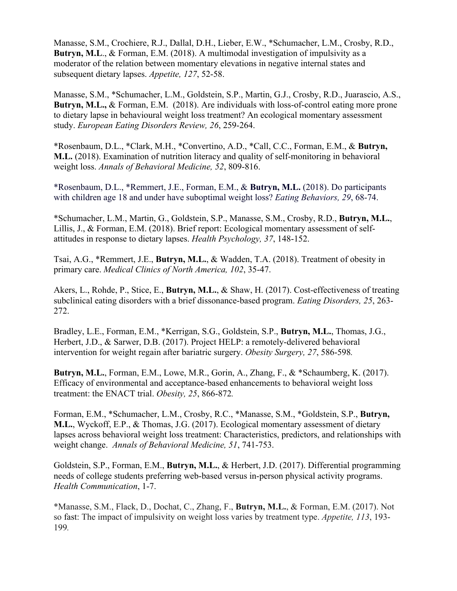Manasse, S.M., Crochiere, R.J., Dallal, D.H., Lieber, E.W., \*Schumacher, L.M., Crosby, R.D., **Butryn, M.L**., & Forman, E.M. (2018). A multimodal investigation of impulsivity as a moderator of the relation between momentary elevations in negative internal states and subsequent dietary lapses. *Appetite, 127*, 52-58.

Manasse, S.M., \*Schumacher, L.M., Goldstein, S.P., Martin, G.J., Crosby, R.D., Juarascio, A.S., **Butryn, M.L., & Forman, E.M. (2018). Are individuals with loss-of-control eating more prone** to dietary lapse in behavioural weight loss treatment? An ecological momentary assessment study. *European Eating Disorders Review, 26*, 259-264.

\*Rosenbaum, D.L., \*Clark, M.H., \*Convertino, A.D., \*Call, C.C., Forman, E.M., & **Butryn, M.L.** (2018). Examination of nutrition literacy and quality of self-monitoring in behavioral weight loss. *Annals of Behavioral Medicine, 52*, 809-816.

\*Rosenbaum, D.L., \*Remmert, J.E., Forman, E.M., & **Butryn, M.L.** (2018). Do participants with children age 18 and under have suboptimal weight loss? *Eating Behaviors, 29*, 68-74.

\*Schumacher, L.M., Martin, G., Goldstein, S.P., Manasse, S.M., Crosby, R.D., **Butryn, M.L.**, Lillis, J., & Forman, E.M. (2018). Brief report: Ecological momentary assessment of selfattitudes in response to dietary lapses. *Health Psychology, 37*, 148-152.

Tsai, A.G., \*Remmert, J.E., **Butryn, M.L.**, & Wadden, T.A. (2018). Treatment of obesity in primary care. *Medical Clinics of North America, 102*, 35-47.

Akers, L., Rohde, P., Stice, E., **Butryn, M.L.**, & Shaw, H. (2017). Cost-effectiveness of treating subclinical eating disorders with a brief dissonance-based program. *Eating Disorders, 25*, 263- 272.

Bradley, L.E., Forman, E.M., \*Kerrigan, S.G., Goldstein, S.P., **Butryn, M.L.**, Thomas, J.G., Herbert, J.D., & Sarwer, D.B. (2017). Project HELP: a remotely-delivered behavioral intervention for weight regain after bariatric surgery. *Obesity Surgery, 27*, 586-598*.*

**Butryn, M.L.**, Forman, E.M., Lowe, M.R., Gorin, A., Zhang, F., & \*Schaumberg, K. (2017). Efficacy of environmental and acceptance-based enhancements to behavioral weight loss treatment: the ENACT trial. *Obesity, 25*, 866-872*.*

Forman, E.M., \*Schumacher, L.M., Crosby, R.C., \*Manasse, S.M., \*Goldstein, S.P., **Butryn, M.L.**, Wyckoff, E.P., & Thomas, J.G. (2017). Ecological momentary assessment of dietary lapses across behavioral weight loss treatment: Characteristics, predictors, and relationships with weight change. *Annals of Behavioral Medicine, 51*, 741-753.

Goldstein, S.P., Forman, E.M., **Butryn, M.L.**, & Herbert, J.D. (2017). Differential programming needs of college students preferring web-based versus in-person physical activity programs. *Health Communication*, 1-7.

\*Manasse, S.M., Flack, D., Dochat, C., Zhang, F., **Butryn, M.L.**, & Forman, E.M. (2017). Not so fast: The impact of impulsivity on weight loss varies by treatment type. *Appetite, 113*, 193- 199*.*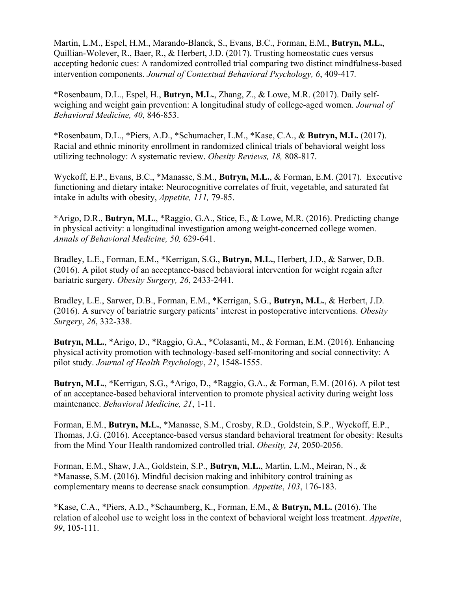Martin, L.M., Espel, H.M., Marando-Blanck, S., Evans, B.C., Forman, E.M., **Butryn, M.L.**, Quillian-Wolever, R., Baer, R., & Herbert, J.D. (2017). Trusting homeostatic cues versus accepting hedonic cues: A randomized controlled trial comparing two distinct mindfulness-based intervention components. *Journal of Contextual Behavioral Psychology, 6*, 409-417*.* 

\*Rosenbaum, D.L., Espel, H., **Butryn, M.L.**, Zhang, Z., & Lowe, M.R. (2017). Daily selfweighing and weight gain prevention: A longitudinal study of college-aged women. *Journal of Behavioral Medicine, 40*, 846-853.

\*Rosenbaum, D.L., \*Piers, A.D., \*Schumacher, L.M., \*Kase, C.A., & **Butryn, M.L.** (2017). Racial and ethnic minority enrollment in randomized clinical trials of behavioral weight loss utilizing technology: A systematic review. *Obesity Reviews, 18,* 808-817.

Wyckoff, E.P., Evans, B.C., \*Manasse, S.M., **Butryn, M.L.**, & Forman, E.M. (2017). Executive functioning and dietary intake: Neurocognitive correlates of fruit, vegetable, and saturated fat intake in adults with obesity, *Appetite, 111,* 79-85.

\*Arigo, D.R., **Butryn, M.L.**, \*Raggio, G.A., Stice, E., & Lowe, M.R. (2016). Predicting change in physical activity: a longitudinal investigation among weight-concerned college women. *Annals of Behavioral Medicine, 50,* 629-641.

Bradley, L.E., Forman, E.M., \*Kerrigan, S.G., **Butryn, M.L.**, Herbert, J.D., & Sarwer, D.B. (2016). A pilot study of an acceptance-based behavioral intervention for weight regain after bariatric surgery*. Obesity Surgery, 26*, 2433-2441*.*

Bradley, L.E., Sarwer, D.B., Forman, E.M., \*Kerrigan, S.G., **Butryn, M.L.**, & Herbert, J.D. (2016). A survey of bariatric surgery patients' interest in postoperative interventions. *Obesity Surgery*, *26*, 332-338.

**Butryn, M.L.**, \*Arigo, D., \*Raggio, G.A., \*Colasanti, M., & Forman, E.M. (2016). Enhancing physical activity promotion with technology-based self-monitoring and social connectivity: A pilot study. *Journal of Health Psychology*, *21*, 1548-1555.

**Butryn, M.L.**, \*Kerrigan, S.G., \*Arigo, D., \*Raggio, G.A., & Forman, E.M. (2016). A pilot test of an acceptance-based behavioral intervention to promote physical activity during weight loss maintenance. *Behavioral Medicine, 21*, 1-11.

Forman, E.M., **Butryn, M.L.**, \*Manasse, S.M., Crosby, R.D., Goldstein, S.P., Wyckoff, E.P., Thomas, J.G. (2016). Acceptance-based versus standard behavioral treatment for obesity: Results from the Mind Your Health randomized controlled trial. *Obesity, 24,* 2050-2056.

Forman, E.M., Shaw, J.A., Goldstein, S.P., **Butryn, M.L.**, Martin, L.M., Meiran, N., & \*Manasse, S.M. (2016). Mindful decision making and inhibitory control training as complementary means to decrease snack consumption. *Appetite*, *103*, 176-183.

\*Kase, C.A., \*Piers, A.D., \*Schaumberg, K., Forman, E.M., & **Butryn, M.L.** (2016). The relation of alcohol use to weight loss in the context of behavioral weight loss treatment. *Appetite*, *99*, 105-111.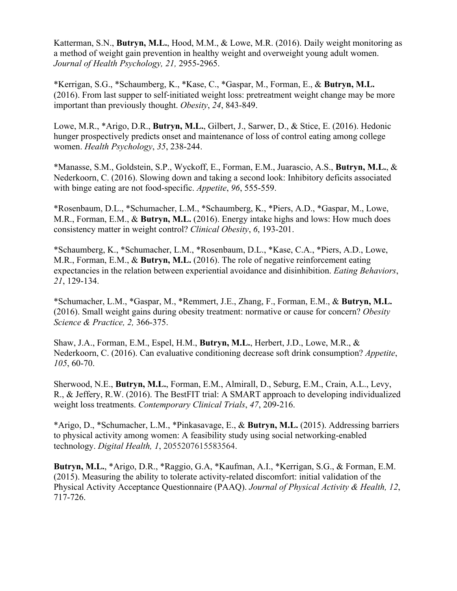Katterman, S.N., **Butryn, M.L.**, Hood, M.M., & Lowe, M.R. (2016). Daily weight monitoring as a method of weight gain prevention in healthy weight and overweight young adult women. *Journal of Health Psychology, 21,* 2955-2965.

\*Kerrigan, S.G., \*Schaumberg, K., \*Kase, C., \*Gaspar, M., Forman, E., & **Butryn, M.L.** (2016). From last supper to self‐initiated weight loss: pretreatment weight change may be more important than previously thought. *Obesity*, *24*, 843-849.

Lowe, M.R., \*Arigo, D.R., **Butryn, M.L.**, Gilbert, J., Sarwer, D., & Stice, E. (2016). Hedonic hunger prospectively predicts onset and maintenance of loss of control eating among college women. *Health Psychology*, *35*, 238-244.

\*Manasse, S.M., Goldstein, S.P., Wyckoff, E., Forman, E.M., Juarascio, A.S., **Butryn, M.L.**, & Nederkoorn, C. (2016). Slowing down and taking a second look: Inhibitory deficits associated with binge eating are not food-specific. *Appetite*, *96*, 555-559.

\*Rosenbaum, D.L., \*Schumacher, L.M., \*Schaumberg, K., \*Piers, A.D., \*Gaspar, M., Lowe, M.R., Forman, E.M., & **Butryn, M.L.** (2016). Energy intake highs and lows: How much does consistency matter in weight control? *Clinical Obesity*, *6*, 193-201.

\*Schaumberg, K., \*Schumacher, L.M., \*Rosenbaum, D.L., \*Kase, C.A., \*Piers, A.D., Lowe, M.R., Forman, E.M., & **Butryn, M.L.** (2016). The role of negative reinforcement eating expectancies in the relation between experiential avoidance and disinhibition. *Eating Behaviors*, *21*, 129-134.

\*Schumacher, L.M., \*Gaspar, M., \*Remmert, J.E., Zhang, F., Forman, E.M., & **Butryn, M.L.** (2016). Small weight gains during obesity treatment: normative or cause for concern? *Obesity Science & Practice, 2,* 366-375.

Shaw, J.A., Forman, E.M., Espel, H.M., **Butryn, M.L.**, Herbert, J.D., Lowe, M.R., & Nederkoorn, C. (2016). Can evaluative conditioning decrease soft drink consumption? *Appetite*, *105*, 60-70.

Sherwood, N.E., **Butryn, M.L.**, Forman, E.M., Almirall, D., Seburg, E.M., Crain, A.L., Levy, R., & Jeffery, R.W. (2016). The BestFIT trial: A SMART approach to developing individualized weight loss treatments. *Contemporary Clinical Trials*, *47*, 209-216.

\*Arigo, D., \*Schumacher, L.M., \*Pinkasavage, E., & **Butryn, M.L.** (2015). Addressing barriers to physical activity among women: A feasibility study using social networking-enabled technology. *Digital Health, 1*, 2055207615583564.

**Butryn, M.L.**, \*Arigo, D.R., \*Raggio, G.A, \*Kaufman, A.I., \*Kerrigan, S.G., & Forman, E.M. (2015). Measuring the ability to tolerate activity-related discomfort: initial validation of the Physical Activity Acceptance Questionnaire (PAAQ). *Journal of Physical Activity & Health, 12*, 717-726.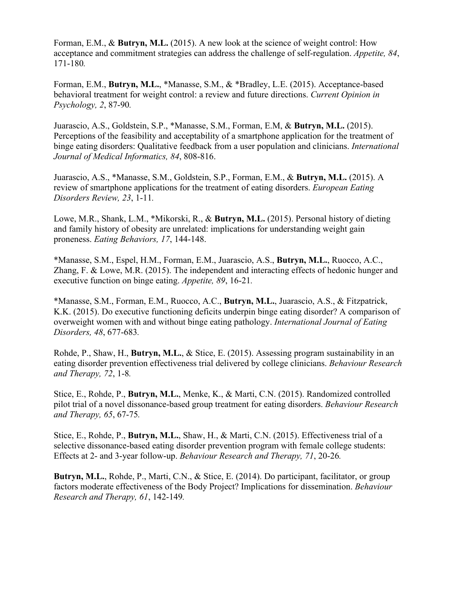Forman, E.M., & **Butryn, M.L.** (2015). A new look at the science of weight control: How acceptance and commitment strategies can address the challenge of self-regulation. *Appetite, 84*, 171-180*.*

Forman, E.M., **Butryn, M.L.**, \*Manasse, S.M., & \*Bradley, L.E. (2015). Acceptance-based behavioral treatment for weight control: a review and future directions. *Current Opinion in Psychology, 2*, 87-90*.*

Juarascio, A.S., Goldstein, S.P., \*Manasse, S.M., Forman, E.M, & **Butryn, M.L.** (2015). Perceptions of the feasibility and acceptability of a smartphone application for the treatment of binge eating disorders: Qualitative feedback from a user population and clinicians. *International Journal of Medical Informatics, 84*, 808-816.

Juarascio, A.S., \*Manasse, S.M., Goldstein, S.P., Forman, E.M., & **Butryn, M.L.** (2015). A review of smartphone applications for the treatment of eating disorders. *European Eating Disorders Review, 23*, 1-11*.*

Lowe, M.R., Shank, L.M., \*Mikorski, R., & **Butryn, M.L.** (2015). Personal history of dieting and family history of obesity are unrelated: implications for understanding weight gain proneness. *Eating Behaviors, 17*, 144-148.

\*Manasse, S.M., Espel, H.M., Forman, E.M., Juarascio, A.S., **Butryn, M.L.**, Ruocco, A.C., Zhang, F. & Lowe, M.R. (2015). The independent and interacting effects of hedonic hunger and executive function on binge eating. *Appetite, 89*, 16-21*.* 

\*Manasse, S.M., Forman, E.M., Ruocco, A.C., **Butryn, M.L.**, Juarascio, A.S., & Fitzpatrick, K.K. (2015). Do executive functioning deficits underpin binge eating disorder? A comparison of overweight women with and without binge eating pathology. *International Journal of Eating Disorders, 48*, 677-683*.*

Rohde, P., Shaw, H., **Butryn, M.L.**, & Stice, E. (2015). Assessing program sustainability in an eating disorder prevention effectiveness trial delivered by college clinicians. *Behaviour Research and Therapy, 72*, 1-8*.*

Stice, E., Rohde, P., **Butryn, M.L.**, Menke, K., & Marti, C.N. (2015). Randomized controlled pilot trial of a novel dissonance-based group treatment for eating disorders. *Behaviour Research and Therapy, 65*, 67-75*.* 

Stice, E., Rohde, P., **Butryn, M.L.**, Shaw, H., & Marti, C.N. (2015). Effectiveness trial of a selective dissonance-based eating disorder prevention program with female college students: Effects at 2- and 3-year follow-up. *Behaviour Research and Therapy, 71*, 20-26*.*

**Butryn, M.L.**, Rohde, P., Marti, C.N., & Stice, E. (2014). Do participant, facilitator, or group factors moderate effectiveness of the Body Project? Implications for dissemination. *Behaviour Research and Therapy, 61*, 142-149*.*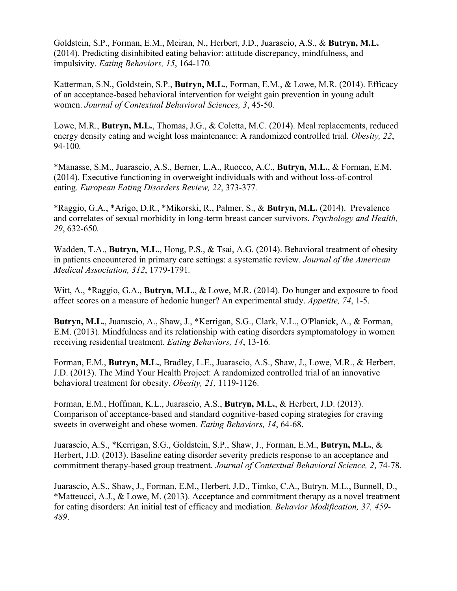Goldstein, S.P., Forman, E.M., Meiran, N., Herbert, J.D., Juarascio, A.S., & **Butryn, M.L.** (2014). Predicting disinhibited eating behavior: attitude discrepancy, mindfulness, and impulsivity. *Eating Behaviors, 15*, 164-170*.*

Katterman, S.N., Goldstein, S.P., **Butryn, M.L.**, Forman, E.M., & Lowe, M.R. (2014). Efficacy of an acceptance-based behavioral intervention for weight gain prevention in young adult women. *Journal of Contextual Behavioral Sciences, 3*, 45-50*.*

Lowe, M.R., **Butryn, M.L.**, Thomas, J.G., & Coletta, M.C. (2014). Meal replacements, reduced energy density eating and weight loss maintenance: A randomized controlled trial. *Obesity, 22*, 94-100*.*

\*Manasse, S.M., Juarascio, A.S., Berner, L.A., Ruocco, A.C., **Butryn, M.L.**, & Forman, E.M. (2014). Executive functioning in overweight individuals with and without loss-of-control eating. *European Eating Disorders Review, 22*, 373-377*.*

\*Raggio, G.A., \*Arigo, D.R., \*Mikorski, R., Palmer, S., & **Butryn, M.L.** (2014). Prevalence and correlates of sexual morbidity in long-term breast cancer survivors. *Psychology and Health, 29*, 632-650*.*

Wadden, T.A., **Butryn, M.L.**, Hong, P.S., & Tsai, A.G. (2014). Behavioral treatment of obesity in patients encountered in primary care settings: a systematic review. *Journal of the American Medical Association, 312*, 1779-1791*.*

Witt, A., \*Raggio, G.A., **Butryn, M.L.**, & Lowe, M.R. (2014). Do hunger and exposure to food affect scores on a measure of hedonic hunger? An experimental study. *Appetite, 74*, 1-5.

**Butryn, M.L.**, Juarascio, A., Shaw, J., \*Kerrigan, S.G., Clark, V.L., O'Planick, A., & Forman, E.M. (2013). Mindfulness and its relationship with eating disorders symptomatology in women receiving residential treatment. *Eating Behaviors, 14*, 13-16*.*

Forman, E.M., **Butryn, M.L.**, Bradley, L.E., Juarascio, A.S., Shaw, J., Lowe, M.R., & Herbert, J.D. (2013). The Mind Your Health Project: A randomized controlled trial of an innovative behavioral treatment for obesity. *Obesity, 21,* 1119-1126.

Forman, E.M., Hoffman, K.L., Juarascio, A.S., **Butryn, M.L.**, & Herbert, J.D. (2013). Comparison of acceptance-based and standard cognitive-based coping strategies for craving sweets in overweight and obese women. *Eating Behaviors, 14*, 64-68.

Juarascio, A.S., \*Kerrigan, S.G., Goldstein, S.P., Shaw, J., Forman, E.M., **Butryn, M.L.**, & Herbert, J.D. (2013). Baseline eating disorder severity predicts response to an acceptance and commitment therapy-based group treatment. *Journal of Contextual Behavioral Science, 2*, 74-78*.*

Juarascio, A.S., Shaw, J., Forman, E.M., Herbert, J.D., Timko, C.A., Butryn. M.L., Bunnell, D., \*Matteucci, A.J., & Lowe, M. (2013). Acceptance and commitment therapy as a novel treatment for eating disorders: An initial test of efficacy and mediation. *Behavior Modification, 37, 459- 489*.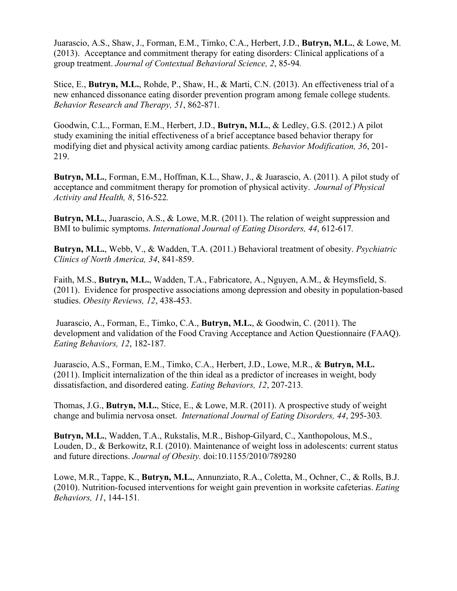Juarascio, A.S., Shaw, J., Forman, E.M., Timko, C.A., Herbert, J.D., **Butryn, M.L.**, & Lowe, M. (2013). Acceptance and commitment therapy for eating disorders: Clinical applications of a group treatment. *Journal of Contextual Behavioral Science, 2*, 85-94*.*

Stice, E., **Butryn, M.L.**, Rohde, P., Shaw, H., & Marti, C.N. (2013). An effectiveness trial of a new enhanced dissonance eating disorder prevention program among female college students. *Behavior Research and Therapy, 51*, 862-871.

Goodwin, C.L., Forman, E.M., Herbert, J.D., **Butryn, M.L.**, & Ledley, G.S. (2012.) A pilot study examining the initial effectiveness of a brief acceptance based behavior therapy for modifying diet and physical activity among cardiac patients. *Behavior Modification, 36*, 201- 219.

**Butryn, M.L.**, Forman, E.M., Hoffman, K.L., Shaw, J., & Juarascio, A. (2011). A pilot study of acceptance and commitment therapy for promotion of physical activity. *Journal of Physical Activity and Health, 8*, 516-522*.* 

**Butryn, M.L.**, Juarascio, A.S., & Lowe, M.R. (2011). The relation of weight suppression and BMI to bulimic symptoms. *International Journal of Eating Disorders, 44*, 612-617*.*

**Butryn, M.L.**, Webb, V., & Wadden, T.A. (2011.) Behavioral treatment of obesity. *Psychiatric Clinics of North America, 34*, 841-859.

Faith, M.S., **Butryn, M.L.**, Wadden, T.A., Fabricatore, A., Nguyen, A.M., & Heymsfield, S. (2011). Evidence for prospective associations among depression and obesity in population-based studies. *Obesity Reviews, 12*, 438-453.

Juarascio, A., Forman, E., Timko, C.A., **Butryn, M.L.**, & Goodwin, C. (2011). The development and validation of the Food Craving Acceptance and Action Questionnaire (FAAQ). *Eating Behaviors, 12*, 182-187*.*

Juarascio, A.S., Forman, E.M., Timko, C.A., Herbert, J.D., Lowe, M.R., & **Butryn, M.L.** (2011). Implicit internalization of the thin ideal as a predictor of increases in weight, body dissatisfaction, and disordered eating. *Eating Behaviors, 12*, 207-213*.*

Thomas, J.G., **Butryn, M.L.**, Stice, E., & Lowe, M.R. (2011). A prospective study of weight change and bulimia nervosa onset. *International Journal of Eating Disorders, 44*, 295-303*.*

**Butryn, M.L.**, Wadden, T.A., Rukstalis, M.R., Bishop-Gilyard, C., Xanthopolous, M.S., Louden, D., & Berkowitz, R.I. (2010). Maintenance of weight loss in adolescents: current status and future directions. *Journal of Obesity.* doi:10.1155/2010/789280

Lowe, M.R., Tappe, K., **Butryn, M.L.**, Annunziato, R.A., Coletta, M., Ochner, C., & Rolls, B.J. (2010). Nutrition-focused interventions for weight gain prevention in worksite cafeterias. *Eating Behaviors, 11*, 144-151*.*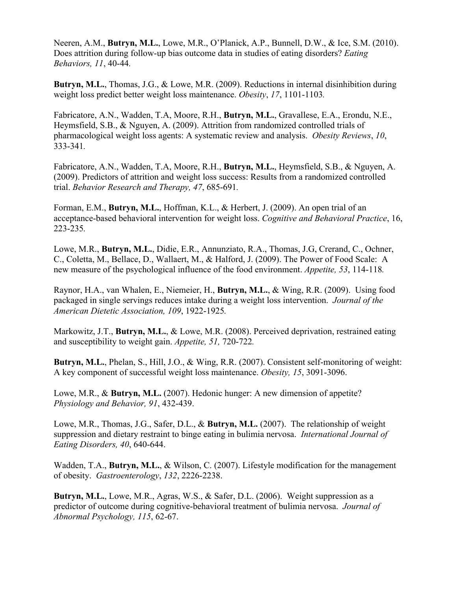Neeren, A.M., **Butryn, M.L.**, Lowe, M.R., O'Planick, A.P., Bunnell, D.W., & Ice, S.M. (2010). Does attrition during follow-up bias outcome data in studies of eating disorders? *Eating Behaviors, 11*, 40-44*.*

**Butryn, M.L.**, Thomas, J.G., & Lowe, M.R. (2009). Reductions in internal disinhibition during weight loss predict better weight loss maintenance. *Obesity*, *17*, 1101-1103*.*

Fabricatore, A.N., Wadden, T.A, Moore, R.H., **Butryn, M.L.**, Gravallese, E.A., Erondu, N.E., Heymsfield, S.B., & Nguyen, A. (2009). Attrition from randomized controlled trials of pharmacological weight loss agents: A systematic review and analysis. *Obesity Reviews*, *10*, 333-341*.*

Fabricatore, A.N., Wadden, T.A, Moore, R.H., **Butryn, M.L.**, Heymsfield, S.B., & Nguyen, A. (2009). Predictors of attrition and weight loss success: Results from a randomized controlled trial. *Behavior Research and Therapy, 47*, 685-691*.*

Forman, E.M., **Butryn, M.L.**, Hoffman, K.L., & Herbert, J. (2009). An open trial of an acceptance-based behavioral intervention for weight loss. *Cognitive and Behavioral Practice*, 16, 223-235*.*

Lowe, M.R., **Butryn, M.L.**, Didie, E.R., Annunziato, R.A., Thomas, J.G, Crerand, C., Ochner, C., Coletta, M., Bellace, D., Wallaert, M., & Halford, J. (2009). The Power of Food Scale: A new measure of the psychological influence of the food environment. *Appetite, 53*, 114-118*.*

Raynor, H.A., van Whalen, E., Niemeier, H., **Butryn, M.L.**, & Wing, R.R. (2009). Using food packaged in single servings reduces intake during a weight loss intervention. *Journal of the American Dietetic Association, 109*, 1922-1925*.*

Markowitz, J.T., **Butryn, M.L.**, & Lowe, M.R. (2008). Perceived deprivation, restrained eating and susceptibility to weight gain. *Appetite, 51,* 720-722*.*

**Butryn, M.L.**, Phelan, S., Hill, J.O., & Wing, R.R. (2007). Consistent self-monitoring of weight: A key component of successful weight loss maintenance. *Obesity, 15*, 3091-3096.

Lowe, M.R., & **Butryn, M.L.** (2007). Hedonic hunger: A new dimension of appetite? *Physiology and Behavior, 91*, 432-439.

Lowe, M.R., Thomas, J.G., Safer, D.L., & **Butryn, M.L.** (2007). The relationship of weight suppression and dietary restraint to binge eating in bulimia nervosa. *International Journal of Eating Disorders, 40*, 640-644.

Wadden, T.A., **Butryn, M.L.**, & Wilson, C. (2007). Lifestyle modification for the management of obesity. *Gastroenterology*, *132*, 2226-2238.

**Butryn, M.L.**, Lowe, M.R., Agras, W.S., & Safer, D.L. (2006). Weight suppression as a predictor of outcome during cognitive-behavioral treatment of bulimia nervosa. *Journal of Abnormal Psychology, 115*, 62-67.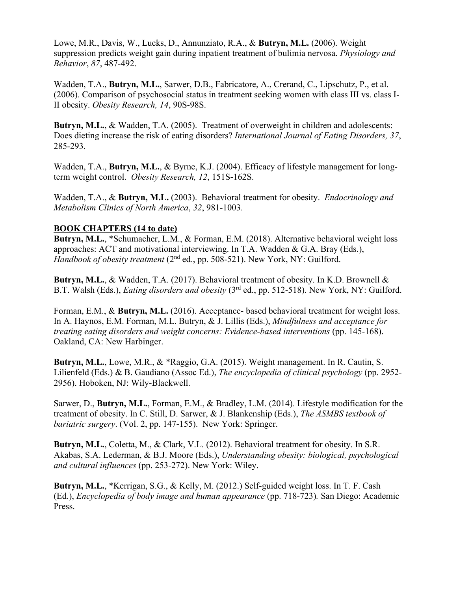Lowe, M.R., Davis, W., Lucks, D., Annunziato, R.A., & **Butryn, M.L.** (2006). Weight suppression predicts weight gain during inpatient treatment of bulimia nervosa. *Physiology and Behavior*, *87*, 487-492.

Wadden, T.A., **Butryn, M.L.**, Sarwer, D.B., Fabricatore, A., Crerand, C., Lipschutz, P., et al. (2006). Comparison of psychosocial status in treatment seeking women with class III vs. class I-II obesity. *Obesity Research, 14*, 90S-98S.

**Butryn, M.L.**, & Wadden, T.A. (2005). Treatment of overweight in children and adolescents: Does dieting increase the risk of eating disorders? *International Journal of Eating Disorders, 37*, 285-293.

Wadden, T.A., **Butryn, M.L.**, & Byrne, K.J. (2004). Efficacy of lifestyle management for longterm weight control. *Obesity Research, 12*, 151S-162S.

Wadden, T.A., & **Butryn, M.L.** (2003). Behavioral treatment for obesity. *Endocrinology and Metabolism Clinics of North America*, *32*, 981-1003.

## **BOOK CHAPTERS (14 to date)**

**Butryn, M.L.**, \*Schumacher, L.M., & Forman, E.M. (2018). Alternative behavioral weight loss approaches: ACT and motivational interviewing. In T.A. Wadden & G.A. Bray (Eds.), *Handbook of obesity treatment* (2<sup>nd</sup> ed., pp. 508-521). New York, NY: Guilford.

**Butryn, M.L.**, & Wadden, T.A. (2017). Behavioral treatment of obesity. In K.D. Brownell & B.T. Walsh (Eds.), *Eating disorders and obesity* (3rd ed., pp. 512-518). New York, NY: Guilford.

Forman, E.M., & **Butryn, M.L.** (2016). Acceptance- based behavioral treatment for weight loss. In A. Haynos, E.M. Forman, M.L. Butryn, & J. Lillis (Eds.), *Mindfulness and acceptance for treating eating disorders and weight concerns: Evidence-based interventions* (pp. 145-168). Oakland, CA: New Harbinger.

**Butryn, M.L.**, Lowe, M.R., & \*Raggio, G.A. (2015). Weight management. In R. Cautin, S. Lilienfeld (Eds.) & B. Gaudiano (Assoc Ed.), *The encyclopedia of clinical psychology* (pp. 2952- 2956). Hoboken, NJ: Wily-Blackwell.

Sarwer, D., **Butryn, M.L.**, Forman, E.M., & Bradley, L.M. (2014). Lifestyle modification for the treatment of obesity. In C. Still, D. Sarwer, & J. Blankenship (Eds.), *The ASMBS textbook of bariatric surgery*. (Vol. 2, pp. 147-155). New York: Springer.

**Butryn, M.L.**, Coletta, M., & Clark, V.L. (2012). Behavioral treatment for obesity. In S.R. Akabas, S.A. Lederman, & B.J. Moore (Eds.), *Understanding obesity: biological, psychological and cultural influences* (pp. 253-272). New York: Wiley.

**Butryn, M.L.**, \*Kerrigan, S.G., & Kelly, M. (2012.) Self-guided weight loss. In T. F. Cash (Ed.), *Encyclopedia of body image and human appearance* (pp. 718-723)*.* San Diego: Academic Press.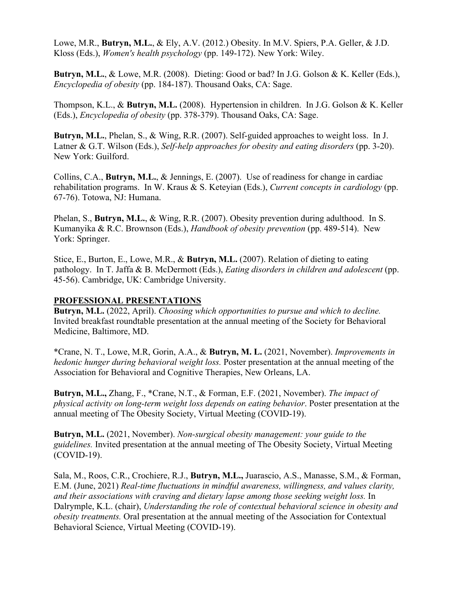Lowe, M.R., **Butryn, M.L.**, & Ely, A.V. (2012.) Obesity. In [M.V. Spiers,](http://www.google.com/search?tbo=p&tbm=bks&q=inauthor:%22Mary+V.+Spiers%22) [P.A. Geller,](http://www.google.com/search?tbo=p&tbm=bks&q=inauthor:%22Pamela+A.+Geller%22) & [J.D.](http://www.google.com/search?tbo=p&tbm=bks&q=inauthor:%22Jacqueline+D.+Kloss%22)  [Kloss](http://www.google.com/search?tbo=p&tbm=bks&q=inauthor:%22Jacqueline+D.+Kloss%22) (Eds.), *Women's health psychology* (pp. 149-172). New York: Wiley.

**Butryn, M.L.**, & Lowe, M.R. (2008). Dieting: Good or bad? In J.G. Golson & K. Keller (Eds.), *Encyclopedia of obesity* (pp. 184-187). Thousand Oaks, CA: Sage.

Thompson, K.L., & **Butryn, M.L.** (2008). Hypertension in children. In J.G. Golson & K. Keller (Eds.), *Encyclopedia of obesity* (pp. 378-379). Thousand Oaks, CA: Sage.

**Butryn, M.L.**, Phelan, S., & Wing, R.R. (2007). Self-guided approaches to weight loss. In J. Latner & G.T. Wilson (Eds.), *Self-help approaches for obesity and eating disorders* (pp. 3-20). New York: Guilford.

Collins, C.A., **Butryn, M.L.**, & Jennings, E. (2007). Use of readiness for change in cardiac rehabilitation programs. In W. Kraus & S. Keteyian (Eds.), *Current concepts in cardiology* (pp. 67-76). Totowa, NJ: Humana.

Phelan, S., **Butryn, M.L.**, & Wing, R.R. (2007). Obesity prevention during adulthood. In S. Kumanyika & R.C. Brownson (Eds.), *Handbook of obesity prevention* (pp. 489-514). New York: Springer.

Stice, E., Burton, E., Lowe, M.R., & **Butryn, M.L.** (2007). Relation of dieting to eating pathology. In T. Jaffa & B. McDermott (Eds.), *Eating disorders in children and adolescent* (pp. 45-56). Cambridge, UK: Cambridge University.

#### **PROFESSIONAL PRESENTATIONS**

**Butryn, M.L.** (2022, April). *Choosing which opportunities to pursue and which to decline.* Invited breakfast roundtable presentation at the annual meeting of the Society for Behavioral Medicine, Baltimore, MD.

\*Crane, N. T., Lowe, M.R, Gorin, A.A., & **Butryn, M. L.** (2021, November). *Improvements in hedonic hunger during behavioral weight loss.* Poster presentation at the annual meeting of the Association for Behavioral and Cognitive Therapies, New Orleans, LA.

**Butryn, M.L.,** Zhang, F., \*Crane, N.T., & Forman, E.F. (2021, November). *The impact of physical activity on long-term weight loss depends on eating behavior*. Poster presentation at the annual meeting of The Obesity Society, Virtual Meeting (COVID-19).

**Butryn, M.L.** (2021, November). *Non-surgical obesity management: your guide to the guidelines.* Invited presentation at the annual meeting of The Obesity Society, Virtual Meeting (COVID-19).

Sala, M., Roos, C.R., Crochiere, R.J., **Butryn, M.L.,** Juarascio, A.S., Manasse, S.M., & Forman, E.M. (June, 2021) *Real-time fluctuations in mindful awareness, willingness, and values clarity, and their associations with craving and dietary lapse among those seeking weight loss.* In Dalrymple, K.L. (chair), *Understanding the role of contextual behavioral science in obesity and obesity treatments.* Oral presentation at the annual meeting of the Association for Contextual Behavioral Science, Virtual Meeting (COVID-19).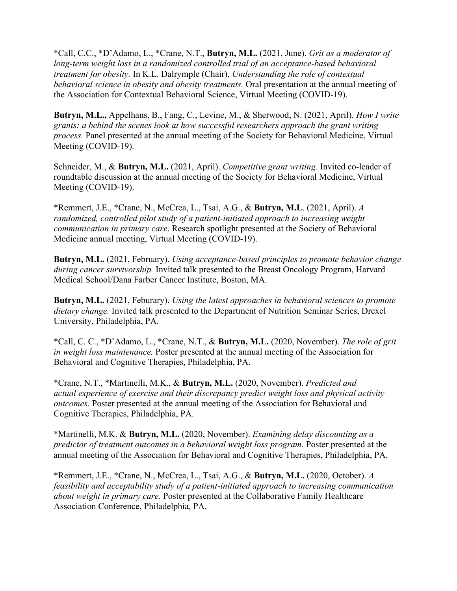\*Call, C.C., \*D'Adamo, L., \*Crane, N.T., **Butryn, M.L.** (2021, June). *Grit as a moderator of long-term weight loss in a randomized controlled trial of an acceptance-based behavioral treatment for obesity.* In K.L. Dalrymple (Chair), *Understanding the role of contextual behavioral science in obesity and obesity treatments.* Oral presentation at the annual meeting of the Association for Contextual Behavioral Science, Virtual Meeting (COVID-19).

**Butryn, M.L.,** Appelhans, B., Fang, C., Levine, M., & Sherwood, N. (2021, April). *How I write grants: a behind the scenes look at how successful researchers approach the grant writing process.* Panel presented at the annual meeting of the Society for Behavioral Medicine, Virtual Meeting (COVID-19).

Schneider, M., & **Butryn, M.L.** (2021, April). *Competitive grant writing.* Invited co-leader of roundtable discussion at the annual meeting of the Society for Behavioral Medicine, Virtual Meeting (COVID-19).

\*Remmert, J.E., \*Crane, N., McCrea, L., Tsai, A.G., & **Butryn, M.L**. (2021, April). *A randomized, controlled pilot study of a patient-initiated approach to increasing weight communication in primary care*. Research spotlight presented at the Society of Behavioral Medicine annual meeting, Virtual Meeting (COVID-19).

**Butryn, M.L.** (2021, February). *Using acceptance-based principles to promote behavior change during cancer survivorship.* Invited talk presented to the Breast Oncology Program, Harvard Medical School/Dana Farber Cancer Institute, Boston, MA.

**Butryn, M.L.** (2021, Feburary). *Using the latest approaches in behavioral sciences to promote dietary change.* Invited talk presented to the Department of Nutrition Seminar Series, Drexel University, Philadelphia, PA.

\*Call, C. C., \*D'Adamo, L., \*Crane, N.T., & **Butryn, M.L.** (2020, November). *The role of grit in weight loss maintenance.* Poster presented at the annual meeting of the Association for Behavioral and Cognitive Therapies, Philadelphia, PA.

\*Crane, N.T., \*Martinelli, M.K., & **Butryn, M.L.** (2020, November). *Predicted and actual experience of exercise and their discrepancy predict weight loss and physical activity outcomes.* Poster presented at the annual meeting of the Association for Behavioral and Cognitive Therapies, Philadelphia, PA.

\*Martinelli, M.K. & **Butryn, M.L.** (2020, November). *Examining delay discounting as a predictor of treatment outcomes in a behavioral weight loss program*. Poster presented at the annual meeting of the Association for Behavioral and Cognitive Therapies, Philadelphia, PA.

\*Remmert, J.E., \*Crane, N., McCrea, L., Tsai, A.G., & **Butryn, M.L.** (2020, October). *A feasibility and acceptability study of a patient-initiated approach to increasing communication about weight in primary care.* Poster presented at the Collaborative Family Healthcare Association Conference, Philadelphia, PA.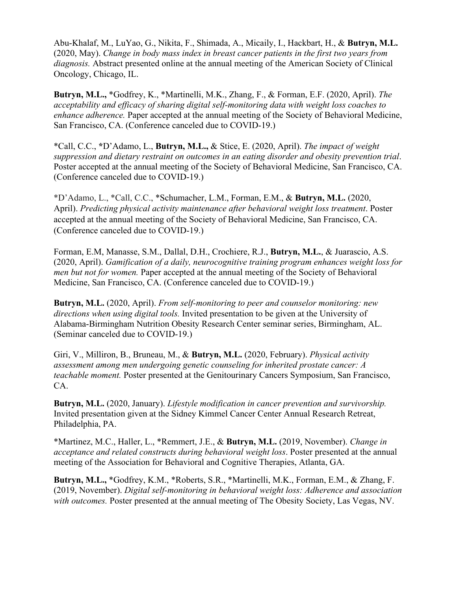Abu-Khalaf, M., LuYao, G., Nikita, F., Shimada, A., Micaily, I., Hackbart, H., & **Butryn, M.L.** (2020, May). *Change in body mass index in breast cancer patients in the first two years from diagnosis.* Abstract presented online at the annual meeting of the American Society of Clinical Oncology, Chicago, IL.

**Butryn, M.L.,** \*Godfrey, K., \*Martinelli, M.K., Zhang, F., & Forman, E.F. (2020, April). *The acceptability and efficacy of sharing digital self-monitoring data with weight loss coaches to enhance adherence.* Paper accepted at the annual meeting of the Society of Behavioral Medicine, San Francisco, CA. (Conference canceled due to COVID-19.)

\*Call, C.C., **\***D'Adamo, L., **Butryn, M.L.,** & Stice, E. (2020, April). *The impact of weight suppression and dietary restraint on outcomes in an eating disorder and obesity prevention trial*. Poster accepted at the annual meeting of the Society of Behavioral Medicine, San Francisco, CA. (Conference canceled due to COVID-19.)

\*D'Adamo, L., \*Call, C.C., \*Schumacher, L.M., Forman, E.M., & **Butryn, M.L.** (2020, April). *Predicting physical activity maintenance after behavioral weight loss treatment*. Poster accepted at the annual meeting of the Society of Behavioral Medicine, San Francisco, CA. (Conference canceled due to COVID-19.)

Forman, E.M, Manasse, S.M., Dallal, D.H., Crochiere, R.J., **Butryn, M.L.**, & Juarascio, A.S. (2020, April). *Gamification of a daily, neurocognitive training program enhances weight loss for men but not for women.* Paper accepted at the annual meeting of the Society of Behavioral Medicine, San Francisco, CA. (Conference canceled due to COVID-19.)

**Butryn, M.L.** (2020, April). *From self-monitoring to peer and counselor monitoring: new directions when using digital tools.* Invited presentation to be given at the University of Alabama-Birmingham Nutrition Obesity Research Center seminar series, Birmingham, AL. (Seminar canceled due to COVID-19.)

Giri, V., Milliron, B., Bruneau, M., & **Butryn, M.L.** (2020, February). *Physical activity assessment among men undergoing genetic counseling for inherited prostate cancer: A teachable moment.* Poster presented at the Genitourinary Cancers Symposium, San Francisco, CA.

**Butryn, M.L.** (2020, January). *Lifestyle modification in cancer prevention and survivorship.* Invited presentation given at the Sidney Kimmel Cancer Center Annual Research Retreat, Philadelphia, PA.

\*Martinez, M.C., Haller, L., \*Remmert, J.E., & **Butryn, M.L.** (2019, November). *Change in acceptance and related constructs during behavioral weight loss*. Poster presented at the annual meeting of the Association for Behavioral and Cognitive Therapies, Atlanta, GA.

**Butryn, M.L.,** \*Godfrey, K.M., \*Roberts, S.R., \*Martinelli, M.K., Forman, E.M., & Zhang, F. (2019, November). *Digital self-monitoring in behavioral weight loss: Adherence and association with outcomes.* Poster presented at the annual meeting of The Obesity Society, Las Vegas, NV.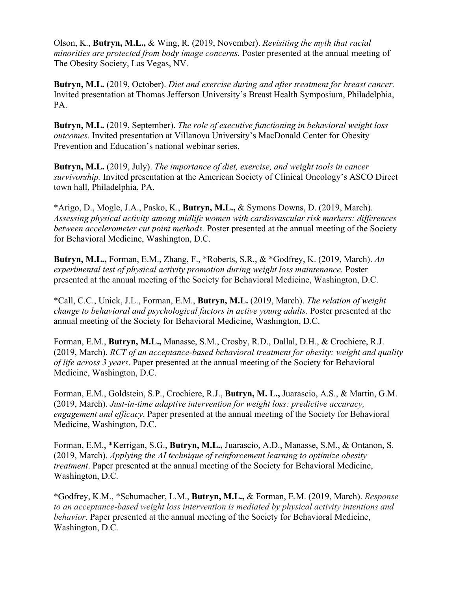Olson, K., **Butryn, M.L.,** & Wing, R. (2019, November). *Revisiting the myth that racial minorities are protected from body image concerns.* Poster presented at the annual meeting of The Obesity Society, Las Vegas, NV.

**Butryn, M.L.** (2019, October). *Diet and exercise during and after treatment for breast cancer.* Invited presentation at Thomas Jefferson University's Breast Health Symposium, Philadelphia, PA.

**Butryn, M.L.** (2019, September). *The role of executive functioning in behavioral weight loss outcomes.* Invited presentation at Villanova University's MacDonald Center for Obesity Prevention and Education's national webinar series.

**Butryn, M.L.** (2019, July). *The importance of diet, exercise, and weight tools in cancer survivorship.* Invited presentation at the American Society of Clinical Oncology's ASCO Direct town hall, Philadelphia, PA.

\*Arigo, D., Mogle, J.A., Pasko, K., **Butryn, M.L.,** & Symons Downs, D. (2019, March). *Assessing physical activity among midlife women with cardiovascular risk markers: differences between accelerometer cut point methods.* Poster presented at the annual meeting of the Society for Behavioral Medicine, Washington, D.C.

**Butryn, M.L.,** Forman, E.M., Zhang, F., \*Roberts, S.R., & \*Godfrey, K. (2019, March). *An experimental test of physical activity promotion during weight loss maintenance.* Poster presented at the annual meeting of the Society for Behavioral Medicine, Washington, D.C.

\*Call, C.C., Unick, J.L., Forman, E.M., **Butryn, M.L.** (2019, March). *The relation of weight change to behavioral and psychological factors in active young adults*. Poster presented at the annual meeting of the Society for Behavioral Medicine, Washington, D.C.

Forman, E.M., **Butryn, M.L.,** Manasse, S.M., Crosby, R.D., Dallal, D.H., & Crochiere, R.J. (2019, March). *RCT of an acceptance-based behavioral treatment for obesity: weight and quality of life across 3 years*. Paper presented at the annual meeting of the Society for Behavioral Medicine, Washington, D.C.

Forman, E.M., Goldstein, S.P., Crochiere, R.J., **Butryn, M. L.,** Juarascio, A.S., & Martin, G.M. (2019, March). *Just-in-time adaptive intervention for weight loss: predictive accuracy, engagement and efficacy*. Paper presented at the annual meeting of the Society for Behavioral Medicine, Washington, D.C.

Forman, E.M., \*Kerrigan, S.G., **Butryn, M.L.,** Juarascio, A.D., Manasse, S.M., & Ontanon, S. (2019, March). *Applying the AI technique of reinforcement learning to optimize obesity treatment*. Paper presented at the annual meeting of the Society for Behavioral Medicine, Washington, D.C.

\*Godfrey, K.M., \*Schumacher, L.M., **Butryn, M.L.,** & Forman, E.M. (2019, March). *Response to an acceptance-based weight loss intervention is mediated by physical activity intentions and behavior*. Paper presented at the annual meeting of the Society for Behavioral Medicine, Washington, D.C.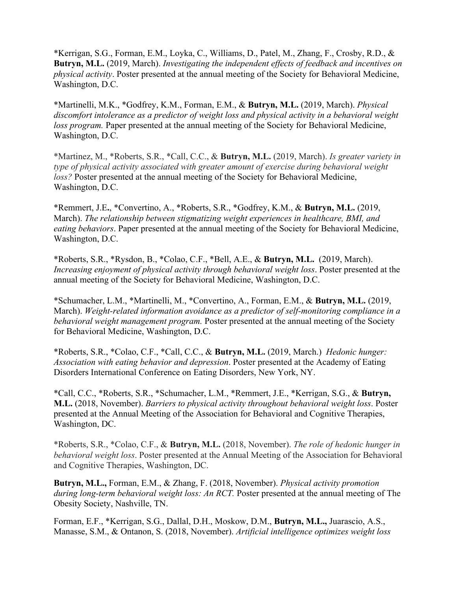\*Kerrigan, S.G., Forman, E.M., Loyka, C., Williams, D., Patel, M., Zhang, F., Crosby, R.D., & **Butryn, M.L.** (2019, March). *Investigating the independent effects of feedback and incentives on physical activity*. Poster presented at the annual meeting of the Society for Behavioral Medicine, Washington, D.C.

\*Martinelli, M.K., \*Godfrey, K.M., Forman, E.M., & **Butryn, M.L.** (2019, March). *Physical discomfort intolerance as a predictor of weight loss and physical activity in a behavioral weight loss program.* Paper presented at the annual meeting of the Society for Behavioral Medicine, Washington, D.C.

\*Martinez, M., \*Roberts, S.R., \*Call, C.C., & **Butryn, M.L.** (2019, March). *Is greater variety in type of physical activity associated with greater amount of exercise during behavioral weight loss?* Poster presented at the annual meeting of the Society for Behavioral Medicine, Washington, D.C.

\*Remmert, J.E**.**, \*Convertino, A., \*Roberts, S.R., \*Godfrey, K.M., & **Butryn, M.L.** (2019, March). *The relationship between stigmatizing weight experiences in healthcare, BMI, and eating behaviors*. Paper presented at the annual meeting of the Society for Behavioral Medicine, Washington, D.C.

\*Roberts, S.R., \*Rysdon, B., \*Colao, C.F., \*Bell, A.E., & **Butryn, M.L.** (2019, March). *Increasing enjoyment of physical activity through behavioral weight loss*. Poster presented at the annual meeting of the Society for Behavioral Medicine, Washington, D.C.

\*Schumacher, L.M., \*Martinelli, M., \*Convertino, A., Forman, E.M., & **Butryn, M.L.** (2019, March). *Weight-related information avoidance as a predictor of self-monitoring compliance in a behavioral weight management program.* Poster presented at the annual meeting of the Society for Behavioral Medicine, Washington, D.C.

\*Roberts, S.R., \*Colao, C.F., \*Call, C.C., & **Butryn, M.L.** (2019, March.) *Hedonic hunger: Association with eating behavior and depression*. Poster presented at the Academy of Eating Disorders International Conference on Eating Disorders, New York, NY.

\*Call, C.C., \*Roberts, S.R., \*Schumacher, L.M., \*Remmert, J.E., \*Kerrigan, S.G., & **Butryn, M.L.** (2018, November). *Barriers to physical activity throughout behavioral weight loss*. Poster presented at the Annual Meeting of the Association for Behavioral and Cognitive Therapies, Washington, DC.

\*Roberts, S.R., \*Colao, C.F., & **Butryn, M.L.** (2018, November). *The role of hedonic hunger in behavioral weight loss*. Poster presented at the Annual Meeting of the Association for Behavioral and Cognitive Therapies, Washington, DC.

**Butryn, M.L.,** Forman, E.M., & Zhang, F. (2018, November). *Physical activity promotion during long-term behavioral weight loss: An RCT.* Poster presented at the annual meeting of The Obesity Society, Nashville, TN.

Forman, E.F., \*Kerrigan, S.G., Dallal, D.H., Moskow, D.M., **Butryn, M.L.,** Juarascio, A.S., Manasse, S.M., & Ontanon, S. (2018, November). *Artificial intelligence optimizes weight loss*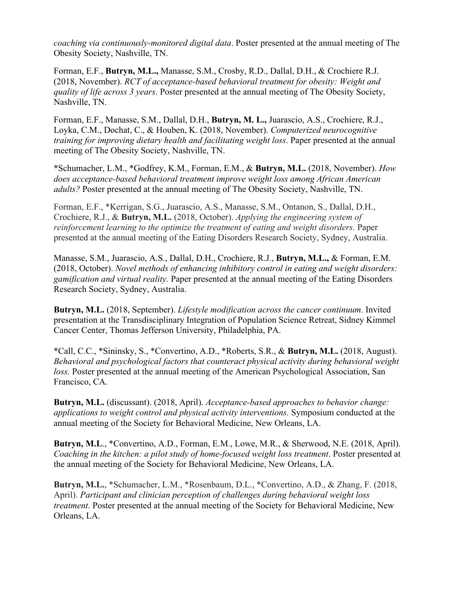*coaching via continuously-monitored digital data*. Poster presented at the annual meeting of The Obesity Society, Nashville, TN.

Forman, E.F., **Butryn, M.L.,** Manasse, S.M., Crosby, R.D., Dallal, D.H., & Crochiere R.J. (2018, November). *RCT of acceptance-based behavioral treatment for obesity: Weight and quality of life across 3 years*. Poster presented at the annual meeting of The Obesity Society, Nashville, TN.

Forman, E.F., Manasse, S.M., Dallal, D.H., **Butryn, M. L.,** Juarascio, A.S., Crochiere, R.J., Loyka, C.M., Dochat, C., & Houben, K. (2018, November). *Computerized neurocognitive training for improving dietary health and facilitating weight loss*. Paper presented at the annual meeting of The Obesity Society, Nashville, TN.

\*Schumacher, L.M., \*Godfrey, K.M., Forman, E.M., & **Butryn, M.L.** (2018, November). *How does acceptance-based behavioral treatment improve weight loss among African American adults?* Poster presented at the annual meeting of The Obesity Society, Nashville, TN.

Forman, E.F., \*Kerrigan, S.G., Juarascio, A.S., Manasse, S.M., Ontanon, S., Dallal, D.H., Crochiere, R.J., & **Butryn, M.L.** (2018, October). *Applying the engineering system of reinforcement learning to the optimize the treatment of eating and weight disorders.* Paper presented at the annual meeting of the Eating Disorders Research Society, Sydney, Australia.

Manasse, S.M., Juarascio, A.S., Dallal, D.H., Crochiere, R.J., **Butryn, M.L.,** & Forman, E.M. (2018, October). *Novel methods of enhancing inhibitory control in eating and weight disorders: gamification and virtual reality.* Paper presented at the annual meeting of the Eating Disorders Research Society, Sydney, Australia.

**Butryn, M.L.** (2018, September). *Lifestyle modification across the cancer continuum.* Invited presentation at the Transdisciplinary Integration of Population Science Retreat, Sidney Kimmel Cancer Center, Thomas Jefferson University, Philadelphia, PA.

\*Call, C.C., \*Sininsky, S., \*Convertino, A.D., \*Roberts, S.R., & **Butryn, M.L.** (2018, August). *Behavioral and psychological factors that counteract physical activity during behavioral weight loss.* Poster presented at the annual meeting of the American Psychological Association, San Francisco, CA.

**Butryn, M.L.** (discussant). (2018, April). *Acceptance-based approaches to behavior change: applications to weight control and physical activity interventions.* Symposium conducted at the annual meeting of the Society for Behavioral Medicine, New Orleans, LA.

**Butryn, M.L**., \*Convertino, A.D., Forman, E.M., Lowe, M.R., & Sherwood, N.E. (2018, April). *Coaching in the kitchen: a pilot study of home-focused weight loss treatment*. Poster presented at the annual meeting of the Society for Behavioral Medicine, New Orleans, LA.

**Butryn, M.L.**, \*Schumacher, L.M., \*Rosenbaum, D.L., \*Convertino, A.D., & Zhang, F. (2018, April). *Participant and clinician perception of challenges during behavioral weight loss treatment*. Poster presented at the annual meeting of the Society for Behavioral Medicine, New Orleans, LA.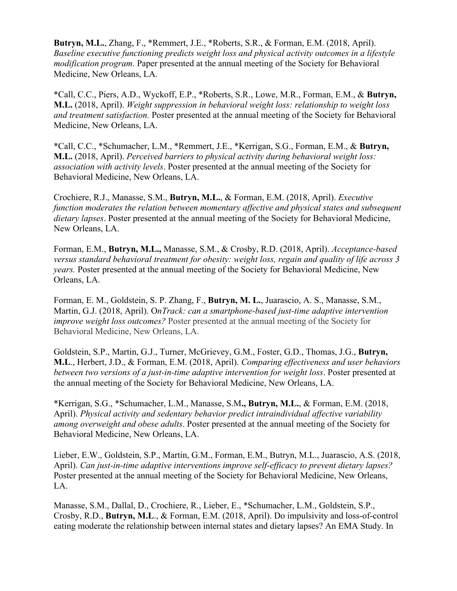**Butryn, M.L.**, Zhang, F., \*Remmert, J.E., \*Roberts, S.R., & Forman, E.M. (2018, April). *Baseline executive functioning predicts weight loss and physical activity outcomes in a lifestyle modification program*. Paper presented at the annual meeting of the Society for Behavioral Medicine, New Orleans, LA.

\*Call, C.C., Piers, A.D., Wyckoff, E.P., \*Roberts, S.R., Lowe, M.R., Forman, E.M., & **Butryn, M.L.** (2018, April). *Weight suppression in behavioral weight loss: relationship to weight loss and treatment satisfaction.* Poster presented at the annual meeting of the Society for Behavioral Medicine, New Orleans, LA.

\*Call, C.C., \*Schumacher, L.M., \*Remmert, J.E., \*Kerrigan, S.G., Forman, E.M., & **Butryn, M.L.** (2018, April). *Perceived barriers to physical activity during behavioral weight loss: association with activity levels*. Poster presented at the annual meeting of the Society for Behavioral Medicine, New Orleans, LA.

Crochiere, R.J., Manasse, S.M., **Butryn, M.L.**, & Forman, E.M. (2018, April). *Executive function moderates the relation between momentary affective and physical states and subsequent dietary lapses*. Poster presented at the annual meeting of the Society for Behavioral Medicine, New Orleans, LA.

Forman, E.M., **Butryn, M.L.,** Manasse, S.M., & Crosby, R.D. (2018, April). *Acceptance-based versus standard behavioral treatment for obesity: weight loss, regain and quality of life across 3 years.* Poster presented at the annual meeting of the Society for Behavioral Medicine, New Orleans, LA.

Forman, E. M., Goldstein, S. P. Zhang, F., **Butryn, M. L.**, Juarascio, A. S., Manasse, S.M., Martin, G.J. (2018, April). O*nTrack: can a smartphone-based just-time adaptive intervention improve weight loss outcomes?* Poster presented at the annual meeting of the Society for Behavioral Medicine, New Orleans, LA.

Goldstein, S.P., Martin, G.J., Turner, McGrievey, G.M., Foster, G.D., Thomas, J.G., **Butryn, M.L**., Herbert, J.D., & Forman, E.M. (2018, April). *Comparing effectiveness and user behaviors between two versions of a just-in-time adaptive intervention for weight loss*. Poster presented at the annual meeting of the Society for Behavioral Medicine, New Orleans, LA.

\*Kerrigan, S.G., \*Schumacher, L.M., Manasse, S.M**., Butryn, M.L.**, & Forman, E.M. (2018, April). *Physical activity and sedentary behavior predict intraindividual affective variability among overweight and obese adults*. Poster presented at the annual meeting of the Society for Behavioral Medicine, New Orleans, LA.

Lieber, E.W., Goldstein, S.P., Martin, G.M., Forman, E.M., Butryn, M.L., Juarascio, A.S. (2018, April). *Can just-in-time adaptive interventions improve self-efficacy to prevent dietary lapses?* Poster presented at the annual meeting of the Society for Behavioral Medicine, New Orleans, LA.

Manasse, S.M., Dallal, D., Crochiere, R., Lieber, E., \*Schumacher, L.M., Goldstein, S.P., Crosby, R.D., **Butryn, M.L**., & Forman, E.M. (2018, April). Do impulsivity and loss-of-control eating moderate the relationship between internal states and dietary lapses? An EMA Study. In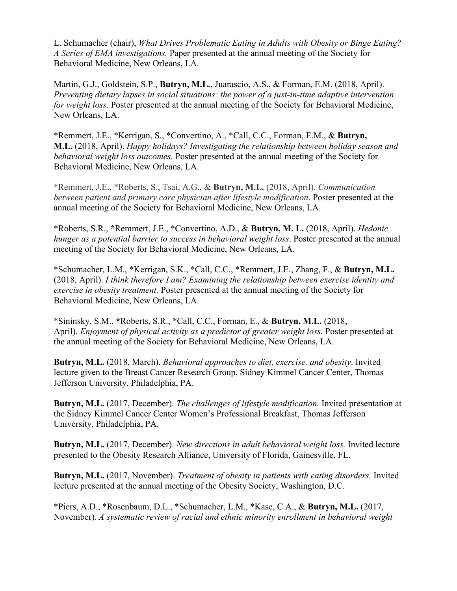L. Schumacher (chair), *What Drives Problematic Eating in Adults with Obesity or Binge Eating? A Series of EMA investigations.* Paper presented at the annual meeting of the Society for Behavioral Medicine, New Orleans, LA.

Martin, G.J., Goldstein, S.P., **Butryn, M.L.**, Juarascio, A.S., & Forman, E.M. (2018, April). *Preventing dietary lapses in social situations: the power of a just-in-time adaptive intervention for weight loss.* Poster presented at the annual meeting of the Society for Behavioral Medicine, New Orleans, LA.

\*Remmert, J.E., \*Kerrigan, S., \*Convertino, A., \*Call, C.C., Forman, E.M., & **Butryn, M.L.** (2018, April). *Happy holidays? Investigating the relationship between holiday season and behavioral weight loss outcomes.* Poster presented at the annual meeting of the Society for Behavioral Medicine, New Orleans, LA.

\*Remmert, J.E., \*Roberts, S., Tsai, A.G., & **Butryn, M.L.** (2018, April). *Communication between patient and primary care physician after lifestyle modification*. Poster presented at the annual meeting of the Society for Behavioral Medicine, New Orleans, LA.

\*Roberts, S.R., **\***Remmert, J.E., \*Convertino, A.D., & **Butryn, M. L.** (2018, April). *Hedonic hunger as a potential barrier to success in behavioral weight loss*. Poster presented at the annual meeting of the Society for Behavioral Medicine, New Orleans, LA.

\*Schumacher, L.M., \*Kerrigan, S.K., \*Call, C.C., \*Remmert, J.E., Zhang, F., & **Butryn, M.L.** (2018, April). *I think therefore I am? Examining the relationship between exercise identity and exercise in obesity treatment.* Poster presented at the annual meeting of the Society for Behavioral Medicine, New Orleans, LA.

\*Sininsky, S.M., **\***Roberts, S.R., \*Call, C.C., Forman, E., & **Butryn, M.L.** (2018, April). *Enjoyment of physical activity as a predictor of greater weight loss.* Poster presented at the annual meeting of the Society for Behavioral Medicine, New Orleans, LA.

**Butryn, M.L.** (2018, March). *Behavioral approaches to diet, exercise, and obesity*. Invited lecture given to the Breast Cancer Research Group, Sidney Kimmel Cancer Center, Thomas Jefferson University, Philadelphia, PA.

**Butryn, M.L.** (2017, December). *The challenges of lifestyle modification.* Invited presentation at the Sidney Kimmel Cancer Center Women's Professional Breakfast, Thomas Jefferson University, Philadelphia, PA.

**Butryn, M.L.** (2017, December). *New directions in adult behavioral weight loss.* Invited lecture presented to the Obesity Research Alliance, University of Florida, Gainesville, FL.

**Butryn, M.L.** (2017, November). *Treatment of obesity in patients with eating disorders.* Invited lecture presented at the annual meeting of the Obesity Society, Washington, D.C.

\*Piers, A.D., \*Rosenbaum, D.L., \*Schumacher, L.M., \*Kase, C.A., & **Butryn, M.L.** (2017, November). *A systematic review of racial and ethnic minority enrollment in behavioral weight*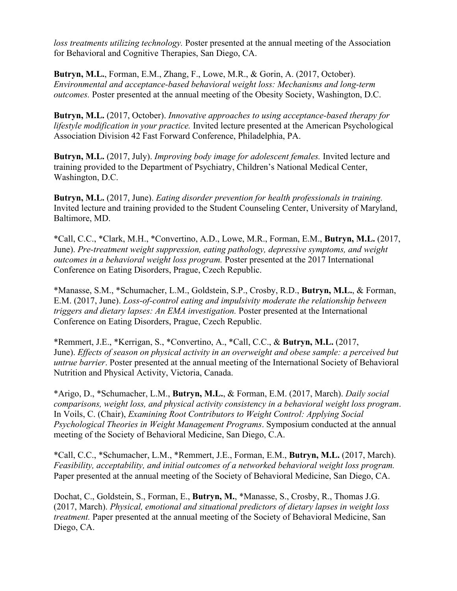*loss treatments utilizing technology.* Poster presented at the annual meeting of the Association for Behavioral and Cognitive Therapies, San Diego, CA.

**Butryn, M.L.**, Forman, E.M., Zhang, F., Lowe, M.R., & Gorin, A. (2017, October). *Environmental and acceptance-based behavioral weight loss: Mechanisms and long-term outcomes.* Poster presented at the annual meeting of the Obesity Society, Washington, D.C.

**Butryn, M.L.** (2017, October). *Innovative approaches to using acceptance-based therapy for lifestyle modification in your practice.* Invited lecture presented at the American Psychological Association Division 42 Fast Forward Conference, Philadelphia, PA.

**Butryn, M.L.** (2017, July). *Improving body image for adolescent females.* Invited lecture and training provided to the Department of Psychiatry, Children's National Medical Center, Washington, D.C.

**Butryn, M.L.** (2017, June). *Eating disorder prevention for health professionals in training.* Invited lecture and training provided to the Student Counseling Center, University of Maryland, Baltimore, MD.

\*Call, C.C., \*Clark, M.H., \*Convertino, A.D., Lowe, M.R., Forman, E.M., **Butryn, M.L.** (2017, June). *Pre-treatment weight suppression, eating pathology, depressive symptoms, and weight outcomes in a behavioral weight loss program.* Poster presented at the 2017 International Conference on Eating Disorders, Prague, Czech Republic.

\*Manasse, S.M., \*Schumacher, L.M., Goldstein, S.P., Crosby, R.D., **Butryn, M.L.**, & Forman, E.M. (2017, June). *Loss-of-control eating and impulsivity moderate the relationship between triggers and dietary lapses: An EMA investigation.* Poster presented at the International Conference on Eating Disorders, Prague, Czech Republic.

\*Remmert, J.E., \*Kerrigan, S., \*Convertino, A., \*Call, C.C., & **Butryn, M.L.** (2017, June). *Effects of season on physical activity in an overweight and obese sample: a perceived but untrue barrier*. Poster presented at the annual meeting of the International Society of Behavioral Nutrition and Physical Activity, Victoria, Canada.

\*Arigo, D., \*Schumacher, L.M., **Butryn, M.L.**, & Forman, E.M. (2017, March). *Daily social comparisons, weight loss, and physical activity consistency in a behavioral weight loss program*. In Voils, C. (Chair), *Examining Root Contributors to Weight Control: Applying Social Psychological Theories in Weight Management Programs*. Symposium conducted at the annual meeting of the Society of Behavioral Medicine, San Diego, C.A.

\*Call, C.C., \*Schumacher, L.M., \*Remmert, J.E., Forman, E.M., **Butryn, M.L.** (2017, March). *Feasibility, acceptability, and initial outcomes of a networked behavioral weight loss program.*  Paper presented at the annual meeting of the Society of Behavioral Medicine, San Diego, CA.

Dochat, C., Goldstein, S., Forman, E., **Butryn, M.**, \*Manasse, S., Crosby, R., Thomas J.G. (2017, March). *Physical, emotional and situational predictors of dietary lapses in weight loss treatment.* Paper presented at the annual meeting of the Society of Behavioral Medicine, San Diego, CA.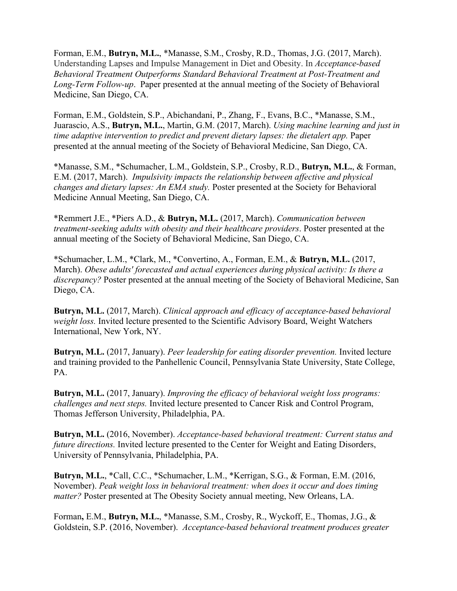Forman, E.M., **Butryn, M.L.**, \*Manasse, S.M., Crosby, R.D., Thomas, J.G. (2017, March). Understanding Lapses and Impulse Management in Diet and Obesity. In *Acceptance-based Behavioral Treatment Outperforms Standard Behavioral Treatment at Post-Treatment and Long-Term Follow-up*. Paper presented at the annual meeting of the Society of Behavioral Medicine, San Diego, CA.

Forman, E.M., Goldstein, S.P., Abichandani, P., Zhang, F., Evans, B.C., \*Manasse, S.M., Juarascio, A.S., **Butryn, M.L.**, Martin, G.M. (2017, March). *Using machine learning and just in time adaptive intervention to predict and prevent dietary lapses: the dietalert app.* Paper presented at the annual meeting of the Society of Behavioral Medicine, San Diego, CA.

\*Manasse, S.M., \*Schumacher, L.M., Goldstein, S.P., Crosby, R.D., **Butryn, M.L.**, & Forman, E.M. (2017, March). *Impulsivity impacts the relationship between affective and physical changes and dietary lapses: An EMA study.* Poster presented at the Society for Behavioral Medicine Annual Meeting, San Diego, CA.

\*Remmert J.E., \*Piers A.D., & **Butryn, M.L.** (2017, March). *Communication between treatment-seeking adults with obesity and their healthcare providers*. Poster presented at the annual meeting of the Society of Behavioral Medicine, San Diego, CA.

\*Schumacher, L.M., \*Clark, M., \*Convertino, A., Forman, E.M., & **Butryn, M.L.** (2017, March). *Obese adults' forecasted and actual experiences during physical activity: Is there a discrepancy?* Poster presented at the annual meeting of the Society of Behavioral Medicine, San Diego, CA.

**Butryn, M.L.** (2017, March). *Clinical approach and efficacy of acceptance-based behavioral weight loss.* Invited lecture presented to the Scientific Advisory Board, Weight Watchers International, New York, NY.

**Butryn, M.L.** (2017, January). *Peer leadership for eating disorder prevention.* Invited lecture and training provided to the Panhellenic Council, Pennsylvania State University, State College, PA.

**Butryn, M.L.** (2017, January). *Improving the efficacy of behavioral weight loss programs: challenges and next steps.* Invited lecture presented to Cancer Risk and Control Program, Thomas Jefferson University, Philadelphia, PA.

**Butryn, M.L.** (2016, November). *Acceptance-based behavioral treatment: Current status and future directions.* Invited lecture presented to the Center for Weight and Eating Disorders, University of Pennsylvania, Philadelphia, PA.

**Butryn, M.L.**, \*Call, C.C., \*Schumacher, L.M., \*Kerrigan, S.G., & Forman, E.M. (2016, November). *Peak weight loss in behavioral treatment: when does it occur and does timing matter?* Poster presented at The Obesity Society annual meeting, New Orleans, LA.

Forman**,** E.M., **Butryn, M.L.**, \*Manasse, S.M., Crosby, R., Wyckoff, E., Thomas, J.G., & Goldstein, S.P. (2016, November). *Acceptance-based behavioral treatment produces greater*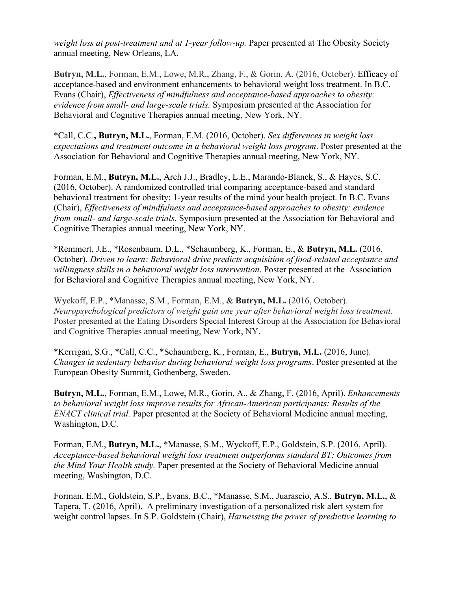*weight loss at post-treatment and at 1-year follow-up.* Paper presented at The Obesity Society annual meeting, New Orleans, LA.

**Butryn, M.L.**, Forman, E.M., Lowe, M.R., Zhang, F., & Gorin, A. (2016, October). Efficacy of acceptance-based and environment enhancements to behavioral weight loss treatment. In B.C. Evans (Chair), *Effectiveness of mindfulness and acceptance-based approaches to obesity: evidence from small- and large-scale trials.* Symposium presented at the Association for Behavioral and Cognitive Therapies annual meeting, New York, NY.

\*Call, C.C.**, Butryn, M.L.**, Forman, E.M. (2016, October). *Sex differences in weight loss expectations and treatment outcome in a behavioral weight loss program*. Poster presented at the Association for Behavioral and Cognitive Therapies annual meeting, New York, NY.

Forman, E.M., **Butryn, M.L.**, Arch J.J., Bradley, L.E., Marando-Blanck, S., & Hayes, S.C. (2016, October). A randomized controlled trial comparing acceptance-based and standard behavioral treatment for obesity: 1-year results of the mind your health project. In B.C. Evans (Chair), *Effectiveness of mindfulness and acceptance-based approaches to obesity: evidence from small- and large-scale trials.* Symposium presented at the Association for Behavioral and Cognitive Therapies annual meeting, New York, NY.

\*Remmert, J.E., \*Rosenbaum, D.L., \*Schaumberg, K., Forman, E., & **Butryn, M.L.** (2016, October). *Driven to learn: Behavioral drive predicts acquisition of food-related acceptance and willingness skills in a behavioral weight loss intervention*. Poster presented at the Association for Behavioral and Cognitive Therapies annual meeting, New York, NY.

Wyckoff, E.P., \*Manasse, S.M., Forman, E.M., & **Butryn, M.L.** (2016, October). *Neuropsychological predictors of weight gain one year after behavioral weight loss treatment*. Poster presented at the Eating Disorders Special Interest Group at the Association for Behavioral and Cognitive Therapies annual meeting, New York, NY.

\*Kerrigan, S.G., \*Call, C.C., \*Schaumberg, K., Forman, E., **Butryn, M.L.** (2016, June). *Changes in sedentary behavior during behavioral weight loss programs*. Poster presented at the European Obesity Summit, Gothenberg, Sweden.

**Butryn, M.L.**, Forman, E.M., Lowe, M.R., Gorin, A., & Zhang, F. (2016, April). *Enhancements to behavioral weight loss improve results for African-American participants: Results of the ENACT clinical trial.* Paper presented at the Society of Behavioral Medicine annual meeting, Washington, D.C.

Forman, E.M., **Butryn, M.L.**, \*Manasse, S.M., Wyckoff, E.P., Goldstein, S.P. (2016, April). *Acceptance-based behavioral weight loss treatment outperforms standard BT: Outcomes from the Mind Your Health study.* Paper presented at the Society of Behavioral Medicine annual meeting, Washington, D.C.

Forman, E.M., Goldstein, S.P., Evans, B.C., \*Manasse, S.M., Juarascio, A.S., **Butryn, M.L.**, & Tapera, T. (2016, April). A preliminary investigation of a personalized risk alert system for weight control lapses. In S.P. Goldstein (Chair), *Harnessing the power of predictive learning to*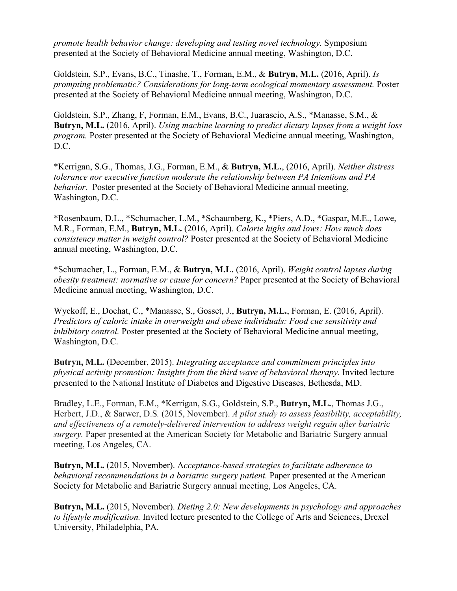*promote health behavior change: developing and testing novel technology.* Symposium presented at the Society of Behavioral Medicine annual meeting, Washington, D.C.

Goldstein, S.P., Evans, B.C., Tinashe, T., Forman, E.M., & **Butryn, M.L.** (2016, April). *Is prompting problematic? Considerations for long-term ecological momentary assessment.* Poster presented at the Society of Behavioral Medicine annual meeting, Washington, D.C.

Goldstein, S.P., Zhang, F, Forman, E.M., Evans, B.C., Juarascio, A.S., \*Manasse, S.M., & **Butryn, M.L.** (2016, April). *Using machine learning to predict dietary lapses from a weight loss program.* Poster presented at the Society of Behavioral Medicine annual meeting, Washington, D.C.

\*Kerrigan, S.G., Thomas, J.G., Forman, E.M., & **Butryn, M.L.**, (2016, April). *Neither distress tolerance nor executive function moderate the relationship between PA Intentions and PA behavior*. Poster presented at the Society of Behavioral Medicine annual meeting, Washington, D.C.

\*Rosenbaum, D.L., \*Schumacher, L.M., \*Schaumberg, K., \*Piers, A.D., \*Gaspar, M.E., Lowe, M.R., Forman, E.M., **Butryn, M.L.** (2016, April). *Calorie highs and lows: How much does consistency matter in weight control?* Poster presented at the Society of Behavioral Medicine annual meeting, Washington, D.C.

\*Schumacher, L., Forman, E.M., & **Butryn, M.L.** (2016, April). *Weight control lapses during obesity treatment: normative or cause for concern?* Paper presented at the Society of Behavioral Medicine annual meeting, Washington, D.C.

Wyckoff, E., Dochat, C., \*Manasse, S., Gosset, J., **Butryn, M.L.**, Forman, E. (2016, April). *Predictors of caloric intake in overweight and obese individuals: Food cue sensitivity and inhibitory control.* Poster presented at the Society of Behavioral Medicine annual meeting, Washington, D.C.

**Butryn, M.L.** (December, 2015). *Integrating acceptance and commitment principles into physical activity promotion: Insights from the third wave of behavioral therapy.* Invited lecture presented to the National Institute of Diabetes and Digestive Diseases, Bethesda, MD.

Bradley, L.E., Forman, E.M., \*Kerrigan, S.G., Goldstein, S.P., **Butryn, M.L.**, Thomas J.G., Herbert, J.D., & Sarwer, D.S*.* (2015, November). *A pilot study to assess feasibility, acceptability, and effectiveness of a remotely-delivered intervention to address weight regain after bariatric surgery.* Paper presented at the American Society for Metabolic and Bariatric Surgery annual meeting, Los Angeles, CA.

**Butryn, M.L.** (2015, November). A*cceptance-based strategies to facilitate adherence to behavioral recommendations in a bariatric surgery patient.* Paper presented at the American Society for Metabolic and Bariatric Surgery annual meeting, Los Angeles, CA.

**Butryn, M.L.** (2015, November). *Dieting 2.0: New developments in psychology and approaches to lifestyle modification.* Invited lecture presented to the College of Arts and Sciences, Drexel University, Philadelphia, PA.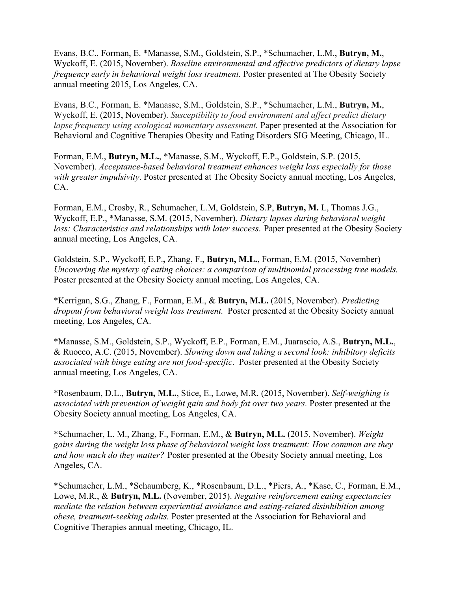Evans, B.C., Forman, E. \*Manasse, S.M., Goldstein, S.P., \*Schumacher, L.M., **Butryn, M.**, Wyckoff, E. (2015, November). *Baseline environmental and affective predictors of dietary lapse frequency early in behavioral weight loss treatment.* Poster presented at The Obesity Society annual meeting 2015, Los Angeles, CA.

Evans, B.C., Forman, E. \*Manasse, S.M., Goldstein, S.P., \*Schumacher, L.M., **Butryn, M.**, Wyckoff, E. (2015, November). *Susceptibility to food environment and affect predict dietary lapse frequency using ecological momentary assessment.* Paper presented at the Association for Behavioral and Cognitive Therapies Obesity and Eating Disorders SIG Meeting, Chicago, IL.

Forman, E.M., **Butryn, M.L.**, \*Manasse, S.M., Wyckoff, E.P., Goldstein, S.P. (2015, November). *Acceptance-based behavioral treatment enhances weight loss especially for those with greater impulsivity*. Poster presented at The Obesity Society annual meeting, Los Angeles, CA.

Forman, E.M., Crosby, R., Schumacher, L.M, Goldstein, S.P, **Butryn, M.** L, Thomas J.G., Wyckoff, E.P., \*Manasse, S.M. (2015, November). *Dietary lapses during behavioral weight loss: Characteristics and relationships with later success*. Paper presented at the Obesity Society annual meeting, Los Angeles, CA.

Goldstein, S.P., Wyckoff, E.P.**,** Zhang, F., **Butryn, M.L.**, Forman, E.M. (2015, November) *Uncovering the mystery of eating choices: a comparison of multinomial processing tree models.*  Poster presented at the Obesity Society annual meeting, Los Angeles, CA.

\*Kerrigan, S.G., Zhang, F., Forman, E.M., & **Butryn, M.L.** (2015, November). *Predicting dropout from behavioral weight loss treatment.* Poster presented at the Obesity Society annual meeting, Los Angeles, CA.

\*Manasse, S.M., Goldstein, S.P., Wyckoff, E.P., Forman, E.M., Juarascio, A.S., **Butryn, M.L.**, & Ruocco, A.C. (2015, November). *Slowing down and taking a second look: inhibitory deficits associated with binge eating are not food-specific*. Poster presented at the Obesity Society annual meeting, Los Angeles, CA.

\*Rosenbaum, D.L., **Butryn, M.L.**, Stice, E., Lowe, M.R. (2015, November). *Self-weighing is associated with prevention of weight gain and body fat over two years.* Poster presented at the Obesity Society annual meeting, Los Angeles, CA.

\*Schumacher, L. M., Zhang, F., Forman, E.M., & **Butryn, M.L.** (2015, November). *Weight gains during the weight loss phase of behavioral weight loss treatment: How common are they and how much do they matter?* Poster presented at the Obesity Society annual meeting, Los Angeles, CA.

\*Schumacher, L.M., \*Schaumberg, K., \*Rosenbaum, D.L., \*Piers, A., \*Kase, C., Forman, E.M., Lowe, M.R., & **Butryn, M.L.** (November, 2015). *Negative reinforcement eating expectancies mediate the relation between experiential avoidance and eating-related disinhibition among obese, treatment-seeking adults.* Poster presented at the Association for Behavioral and Cognitive Therapies annual meeting, Chicago, IL.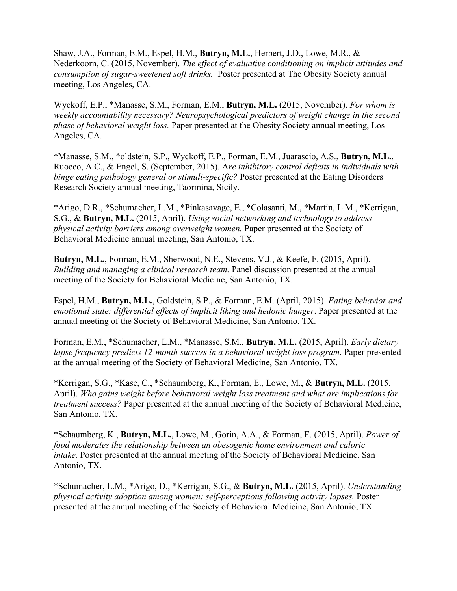Shaw, J.A., Forman, E.M., Espel, H.M., **Butryn, M.L.**, Herbert, J.D., Lowe, M.R., & Nederkoorn, C. (2015, November). *The effect of evaluative conditioning on implicit attitudes and consumption of sugar-sweetened soft drinks.* Poster presented at The Obesity Society annual meeting, Los Angeles, CA.

Wyckoff, E.P., \*Manasse, S.M., Forman, E.M., **Butryn, M.L.** (2015, November). *For whom is weekly accountability necessary? Neuropsychological predictors of weight change in the second phase of behavioral weight loss.* Paper presented at the Obesity Society annual meeting, Los Angeles, CA.

\*Manasse, S.M., \*oldstein, S.P., Wyckoff, E.P., Forman, E.M., Juarascio, A.S., **Butryn, M.L.**, Ruocco, A.C., & Engel, S. (September, 2015). A*re inhibitory control deficits in individuals with binge eating pathology general or stimuli-specific?* Poster presented at the Eating Disorders Research Society annual meeting, Taormina, Sicily.

\*Arigo, D.R., \*Schumacher, L.M., \*Pinkasavage, E., \*Colasanti, M., \*Martin, L.M., \*Kerrigan, S.G., & **Butryn, M.L.** (2015, April). *Using social networking and technology to address physical activity barriers among overweight women.* Paper presented at the Society of Behavioral Medicine annual meeting, San Antonio, TX.

**Butryn, M.L.**, Forman, E.M., Sherwood, N.E., Stevens, V.J., & Keefe, F. (2015, April). *Building and managing a clinical research team.* Panel discussion presented at the annual meeting of the Society for Behavioral Medicine, San Antonio, TX.

Espel, H.M., **Butryn, M.L.**, Goldstein, S.P., & Forman, E.M. (April, 2015). *Eating behavior and emotional state: differential effects of implicit liking and hedonic hunger*. Paper presented at the annual meeting of the Society of Behavioral Medicine, San Antonio, TX.

Forman, E.M., \*Schumacher, L.M., \*Manasse, S.M., **Butryn, M.L.** (2015, April). *Early dietary lapse frequency predicts 12-month success in a behavioral weight loss program*. Paper presented at the annual meeting of the Society of Behavioral Medicine, San Antonio, TX.

\*Kerrigan, S.G., \*Kase, C., \*Schaumberg, K., Forman, E., Lowe, M., & **Butryn, M.L.** (2015, April). *Who gains weight before behavioral weight loss treatment and what are implications for treatment success?* Paper presented at the annual meeting of the Society of Behavioral Medicine, San Antonio, TX.

\*Schaumberg, K., **Butryn, M.L.**, Lowe, M., Gorin, A.A., & Forman, E. (2015, April). *Power of food moderates the relationship between an obesogenic home environment and caloric intake.* Poster presented at the annual meeting of the Society of Behavioral Medicine, San Antonio, TX.

\*Schumacher, L.M., \*Arigo, D., \*Kerrigan, S.G., & **Butryn, M.L.** (2015, April). *Understanding physical activity adoption among women: self-perceptions following activity lapses.* Poster presented at the annual meeting of the Society of Behavioral Medicine, San Antonio, TX.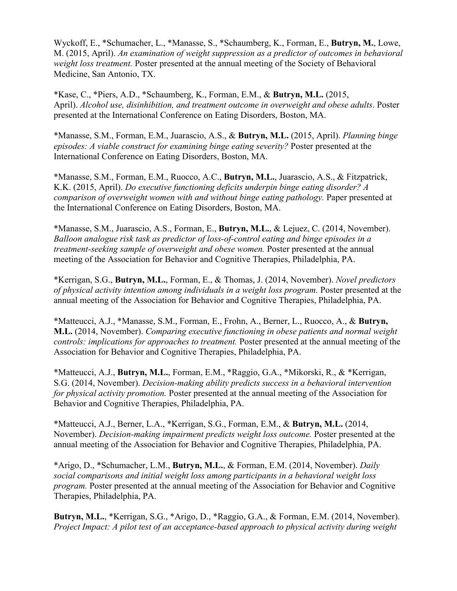Wyckoff, E., \*Schumacher, L., \*Manasse, S., \*Schaumberg, K., Forman, E., **Butryn, M.**, Lowe, M. (2015, April). *An examination of weight suppression as a predictor of outcomes in behavioral weight loss treatment.* Poster presented at the annual meeting of the Society of Behavioral Medicine, San Antonio, TX.

\*Kase, C., \*Piers, A.D., \*Schaumberg, K., Forman, E.M., & **Butryn, M.L.** (2015, April). *Alcohol use, disinhibition, and treatment outcome in overweight and obese adults*. Poster presented at the International Conference on Eating Disorders, Boston, MA.

\*Manasse, S.M., Forman, E.M., Juarascio, A.S., & **Butryn, M.L.** (2015, April). *Planning binge episodes: A viable construct for examining binge eating severity?* Poster presented at the International Conference on Eating Disorders, Boston, MA.

\*Manasse, S.M., Forman, E.M., Ruocco, A.C., **Butryn, M.L.**, Juarascio, A.S., & Fitzpatrick, K.K. (2015, April). *Do executive functioning deficits underpin binge eating disorder? A comparison of overweight women with and without binge eating pathology.* Paper presented at the International Conference on Eating Disorders, Boston, MA.

\*Manasse, S.M., Juarascio, A.S., Forman, E., **Butryn, M.L.**, & Lejuez, C. (2014, November). *Balloon analogue risk task as predictor of loss-of-control eating and binge episodes in a treatment-seeking sample of overweight and obese women.* Poster presented at the annual meeting of the Association for Behavior and Cognitive Therapies, Philadelphia, PA.

\*Kerrigan, S.G., **Butryn, M.L.**, Forman, E., & Thomas, J. (2014, November). *Novel predictors of physical activity intention among individuals in a weight loss program.* Poster presented at the annual meeting of the Association for Behavior and Cognitive Therapies, Philadelphia, PA.

\*Matteucci, A.J., \*Manasse, S.M., Forman, E., Frohn, A., Berner, L., Ruocco, A., & **Butryn, M.L.** (2014, November). *Comparing executive functioning in obese patients and normal weight controls: implications for approaches to treatment.* Poster presented at the annual meeting of the Association for Behavior and Cognitive Therapies, Philadelphia, PA.

\*Matteucci, A.J., **Butryn, M.L.**, Forman, E.M., \*Raggio, G.A., \*Mikorski, R., & \*Kerrigan, S.G. (2014, November). *Decision-making ability predicts success in a behavioral intervention for physical activity promotion.* Poster presented at the annual meeting of the Association for Behavior and Cognitive Therapies, Philadelphia, PA.

\*Matteucci, A.J., Berner, L.A., \*Kerrigan, S.G., Forman, E.M., & **Butryn, M.L.** (2014, November). *Decision-making impairment predicts weight loss outcome.* Poster presented at the annual meeting of the Association for Behavior and Cognitive Therapies, Philadelphia, PA.

\*Arigo, D., \*Schumacher, L.M., **Butryn, M.L.**, & Forman, E.M. (2014, November). *Daily social comparisons and initial weight loss among participants in a behavioral weight loss program.* Poster presented at the annual meeting of the Association for Behavior and Cognitive Therapies, Philadelphia, PA.

**Butryn, M.L.**, \*Kerrigan, S.G., \*Arigo, D., \*Raggio, G.A., & Forman, E.M. (2014, November). *Project Impact: A pilot test of an acceptance-based approach to physical activity during weight*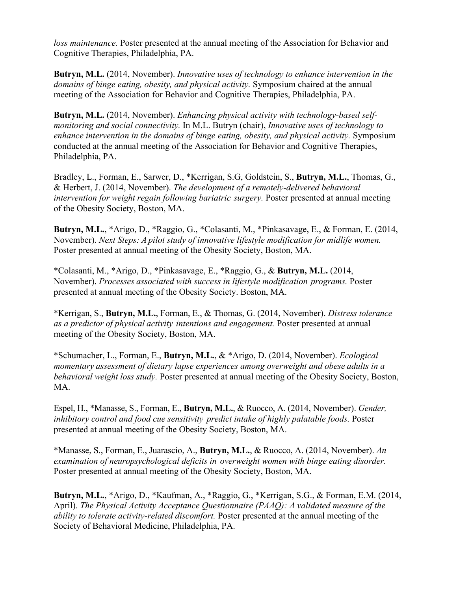*loss maintenance.* Poster presented at the annual meeting of the Association for Behavior and Cognitive Therapies, Philadelphia, PA.

**Butryn, M.L.** (2014, November). *Innovative uses of technology to enhance intervention in the domains of binge eating, obesity, and physical activity.* Symposium chaired at the annual meeting of the Association for Behavior and Cognitive Therapies, Philadelphia, PA.

**Butryn, M.L.** (2014, November). *Enhancing physical activity with technology-based selfmonitoring and social connectivity.* In M.L. Butryn (chair), *Innovative uses of technology to enhance intervention in the domains of binge eating, obesity, and physical activity.* Symposium conducted at the annual meeting of the Association for Behavior and Cognitive Therapies, Philadelphia, PA.

Bradley, L., Forman, E., Sarwer, D., \*Kerrigan, S.G, Goldstein, S., **Butryn, M.L.**, Thomas, G., & Herbert, J. (2014, November). *The development of a remotely-delivered behavioral intervention for weight regain following bariatric surgery.* Poster presented at annual meeting of the Obesity Society, Boston, MA.

**Butryn, M.L.**, \*Arigo, D., \*Raggio, G., \*Colasanti, M., \*Pinkasavage, E., & Forman, E. (2014, November). *Next Steps: A pilot study of innovative lifestyle modification for midlife women.*  Poster presented at annual meeting of the Obesity Society, Boston, MA.

\*Colasanti, M., \*Arigo, D., \*Pinkasavage, E., \*Raggio, G., & **Butryn, M.L.** (2014, November). *Processes associated with success in lifestyle modification programs.* Poster presented at annual meeting of the Obesity Society. Boston, MA.

\*Kerrigan, S., **Butryn, M.L.**, Forman, E., & Thomas, G. (2014, November). *Distress tolerance as a predictor of physical activity intentions and engagement.* Poster presented at annual meeting of the Obesity Society, Boston, MA.

\*Schumacher, L., Forman, E., **Butryn, M.L.**, & \*Arigo, D. (2014, November). *Ecological momentary assessment of dietary lapse experiences among overweight and obese adults in a behavioral weight loss study.* Poster presented at annual meeting of the Obesity Society, Boston, MA.

Espel, H., \*Manasse, S., Forman, E., **Butryn, M.L.**, & Ruocco, A. (2014, November). *Gender, inhibitory control and food cue sensitivity predict intake of highly palatable foods.* Poster presented at annual meeting of the Obesity Society, Boston, MA.

\*Manasse, S., Forman, E., Juarascio, A., **Butryn, M.L.**, & Ruocco, A. (2014, November). *An examination of neuropsychological deficits in overweight women with binge eating disorder.* Poster presented at annual meeting of the Obesity Society, Boston, MA.

**Butryn, M.L.**, \*Arigo, D., \*Kaufman, A., \*Raggio, G., \*Kerrigan, S.G., & Forman, E.M. (2014, April). *The Physical Activity Acceptance Questionnaire (PAAQ): A validated measure of the ability to tolerate activity-related discomfort.* Poster presented at the annual meeting of the Society of Behavioral Medicine, Philadelphia, PA.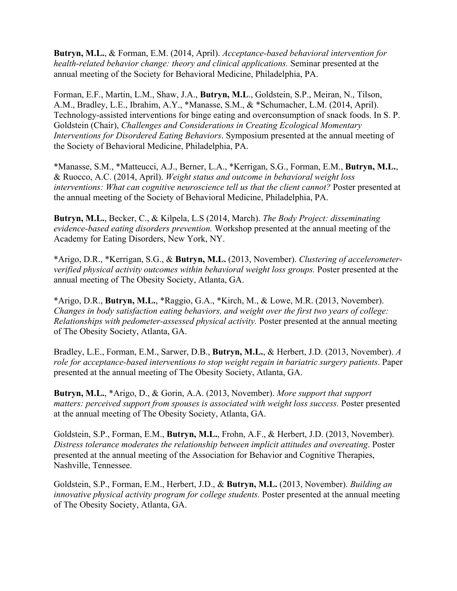**Butryn, M.L.**, & Forman, E.M. (2014, April). *Acceptance-based behavioral intervention for health-related behavior change: theory and clinical applications.* Seminar presented at the annual meeting of the Society for Behavioral Medicine, Philadelphia, PA.

Forman, E.F., Martin, L.M., Shaw, J.A., **Butryn, M.L**., Goldstein, S.P., Meiran, N., Tilson, A.M., Bradley, L.E., Ibrahim, A.Y., \*Manasse, S.M., & \*Schumacher, L.M. (2014, April). Technology-assisted interventions for binge eating and overconsumption of snack foods. In S. P. Goldstein (Chair), *Challenges and Considerations in Creating Ecological Momentary Interventions for Disordered Eating Behaviors*. Symposium presented at the annual meeting of the Society of Behavioral Medicine, Philadelphia, PA.

\*Manasse, S.M., \*Matteucci, A.J., Berner, L.A., \*Kerrigan, S.G., Forman, E.M., **Butryn, M.L.**, & Ruocco, A.C. (2014, April). *Weight status and outcome in behavioral weight loss interventions: What can cognitive neuroscience tell us that the client cannot?* Poster presented at the annual meeting of the Society of Behavioral Medicine, Philadelphia, PA.

**Butryn, M.L.**, Becker, C., & Kilpela, L.S (2014, March). *The Body Project: disseminating evidence-based eating disorders prevention.* Workshop presented at the annual meeting of the Academy for Eating Disorders, New York, NY.

\*Arigo, D.R., \*Kerrigan, S.G., & **Butryn, M.L.** (2013, November). *Clustering of accelerometerverified physical activity outcomes within behavioral weight loss groups.* Poster presented at the annual meeting of The Obesity Society, Atlanta, GA.

\*Arigo, D.R., **Butryn, M.L.**, \*Raggio, G.A., \*Kirch, M., & Lowe, M.R. (2013, November). *Changes in body satisfaction eating behaviors, and weight over the first two years of college: Relationships with pedometer-assessed physical activity.* Poster presented at the annual meeting of The Obesity Society, Atlanta, GA.

Bradley, L.E., Forman, E.M., Sarwer, D.B., **Butryn, M.L.**, & Herbert, J.D. (2013, November). *A role for acceptance-based interventions to stop weight regain in bariatric surgery patients*. Paper presented at the annual meeting of The Obesity Society, Atlanta, GA.

**Butryn, M.L.**, \*Arigo, D., & Gorin, A.A. (2013, November). *More support that support matters: perceived support from spouses is associated with weight loss success.* Poster presented at the annual meeting of The Obesity Society, Atlanta, GA.

Goldstein, S.P., Forman, E.M., **Butryn, M.L.**, Frohn, A.F., & Herbert, J.D. (2013, November). *Distress tolerance moderates the relationship between implicit attitudes and overeating*. Poster presented at the annual meeting of the Association for Behavior and Cognitive Therapies, Nashville, Tennessee.

Goldstein, S.P., Forman, E.M., Herbert, J.D., & **Butryn, M.L.** (2013, November). *Building an innovative physical activity program for college students.* Poster presented at the annual meeting of The Obesity Society, Atlanta, GA.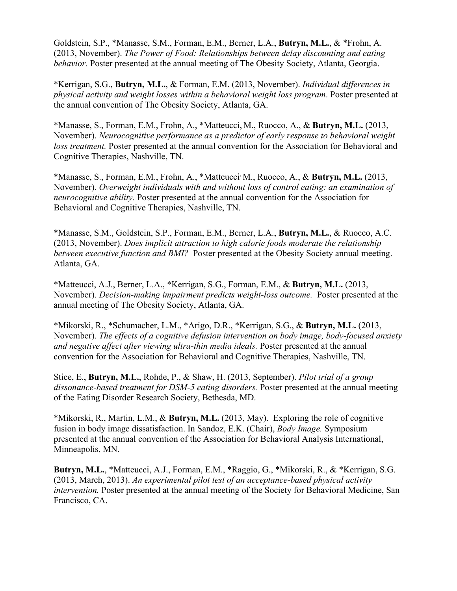Goldstein, S.P., \*Manasse, S.M., Forman, E.M., Berner, L.A., **Butryn, M.L.**, & \*Frohn, A. (2013, November). *The Power of Food: Relationships between delay discounting and eating behavior.* Poster presented at the annual meeting of The Obesity Society, Atlanta, Georgia.

\*Kerrigan, S.G., **Butryn, M.L.**, & Forman, E.M. (2013, November). *Individual differences in physical activity and weight losses within a behavioral weight loss program*. Poster presented at the annual convention of The Obesity Society, Atlanta, GA.

\*Manasse, S., Forman, E.M., Frohn, A., \*Matteucci, M., Ruocco, A., & **Butryn, M.L.** (2013, November). *Neurocognitive performance as a predictor of early response to behavioral weight loss treatment.* Poster presented at the annual convention for the Association for Behavioral and Cognitive Therapies, Nashville, TN.

\*Manasse, S., Forman, E.M., Frohn, A., \*Matteucci, M., Ruocco, A., & **Butryn, M.L.** (2013, November). *Overweight individuals with and without loss of control eating: an examination of neurocognitive ability.* Poster presented at the annual convention for the Association for Behavioral and Cognitive Therapies, Nashville, TN.

\*Manasse, S.M., Goldstein, S.P., Forman, E.M., Berner, L.A., **Butryn, M.L.**, & Ruocco, A.C. (2013, November). *Does implicit attraction to high calorie foods moderate the relationship between executive function and BMI?* Poster presented at the Obesity Society annual meeting. Atlanta, GA.

\*Matteucci, A.J., Berner, L.A., \*Kerrigan, S.G., Forman, E.M., & **Butryn, M.L.** (2013, November). *Decision-making impairment predicts weight-loss outcome.* Poster presented at the annual meeting of The Obesity Society, Atlanta, GA.

\*Mikorski, R., \*Schumacher, L.M., \*Arigo, D.R., \*Kerrigan, S.G., & **Butryn, M.L.** (2013, November). *The effects of a cognitive defusion intervention on body image, body-focused anxiety and negative affect after viewing ultra-thin media ideals.* Poster presented at the annual convention for the Association for Behavioral and Cognitive Therapies, Nashville, TN.

Stice, E., **Butryn, M.L.**, Rohde, P., & Shaw, H. (2013, September). *[Pilot trial of a group](http://www.edresearchsociety.org/EDRS_ONLINE/core_routines/view_abstract_no.php?show_close_window=yes&abstractno=53)  [dissonance-based treatment for DSM-5 eating disorders.](http://www.edresearchsociety.org/EDRS_ONLINE/core_routines/view_abstract_no.php?show_close_window=yes&abstractno=53)* Poster presented at the annual meeting of the Eating Disorder Research Society, Bethesda, MD.

\*Mikorski, R., Martin, L.M., & **Butryn, M.L.** (2013, May). Exploring the role of cognitive fusion in body image dissatisfaction. In Sandoz, E.K. (Chair), *Body Image.* Symposium presented at the annual convention of the Association for Behavioral Analysis International, Minneapolis, MN.

**Butryn, M.L.**, \*Matteucci, A.J., Forman, E.M., \*Raggio, G., \*Mikorski, R., & \*Kerrigan, S.G. (2013, March, 2013). *An experimental pilot test of an acceptance-based physical activity intervention.* Poster presented at the annual meeting of the Society for Behavioral Medicine, San Francisco, CA.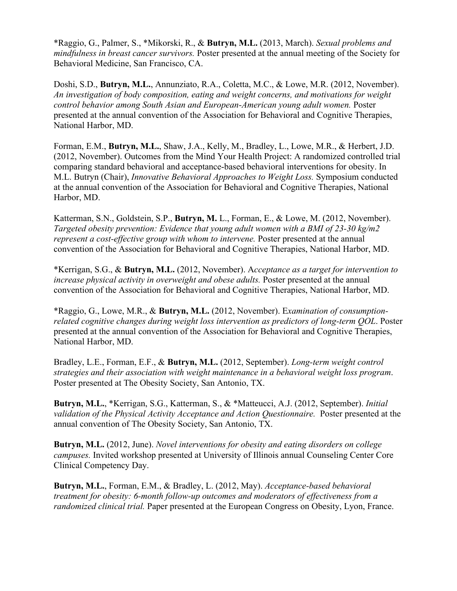\*Raggio, G., Palmer, S., \*Mikorski, R., & **Butryn, M.L.** (2013, March). *Sexual problems and mindfulness in breast cancer survivors.* Poster presented at the annual meeting of the Society for Behavioral Medicine, San Francisco, CA.

Doshi, S.D., **Butryn, M.L.**, Annunziato, R.A., Coletta, M.C., & Lowe, M.R. (2012, November). *An investigation of body composition, eating and weight concerns, and motivations for weight control behavior among South Asian and European-American young adult women.* Poster presented at the annual convention of the Association for Behavioral and Cognitive Therapies, National Harbor, MD.

Forman, E.M., **Butryn, M.L.**, Shaw, J.A., Kelly, M., Bradley, L., Lowe, M.R., & Herbert, J.D. (2012, November). Outcomes from the Mind Your Health Project: A randomized controlled trial comparing standard behavioral and acceptance-based behavioral interventions for obesity. In M.L. Butryn (Chair), *Innovative Behavioral Approaches to Weight Loss.* Symposium conducted at the annual convention of the Association for Behavioral and Cognitive Therapies, National Harbor, MD.

Katterman, S.N., Goldstein, S.P., **Butryn, M.** L., Forman, E., & Lowe, M. (2012, November). *Targeted obesity prevention: Evidence that young adult women with a BMI of 23-30 kg/m2 represent a cost-effective group with whom to intervene.* Poster presented at the annual convention of the Association for Behavioral and Cognitive Therapies, National Harbor, MD.

\*Kerrigan, S.G., & **Butryn, M.L.** (2012, November). A*cceptance as a target for intervention to increase physical activity in overweight and obese adults.* Poster presented at the annual convention of the Association for Behavioral and Cognitive Therapies, National Harbor, MD.

\*Raggio, G., Lowe, M.R., & **Butryn, M.L.** (2012, November). E*xamination of consumptionrelated cognitive changes during weight loss intervention as predictors of long-term QOL*. Poster presented at the annual convention of the Association for Behavioral and Cognitive Therapies, National Harbor, MD.

Bradley, L.E., Forman, E.F., & **Butryn, M.L.** (2012, September). *Long-term weight control strategies and their association with weight maintenance in a behavioral weight loss program*. Poster presented at The Obesity Society, San Antonio, TX.

**Butryn, M.L.**, \*Kerrigan, S.G., Katterman, S., & \*Matteucci, A.J. (2012, September). *Initial validation of the Physical Activity Acceptance and Action Questionnaire.* Poster presented at the annual convention of The Obesity Society, San Antonio, TX.

**Butryn, M.L.** (2012, June). *Novel interventions for obesity and eating disorders on college campuses.* Invited workshop presented at University of Illinois annual Counseling Center Core Clinical Competency Day.

**Butryn, M.L.**, Forman, E.M., & Bradley, L. (2012, May). *Acceptance-based behavioral treatment for obesity: 6-month follow-up outcomes and moderators of effectiveness from a randomized clinical trial.* Paper presented at the European Congress on Obesity, Lyon, France.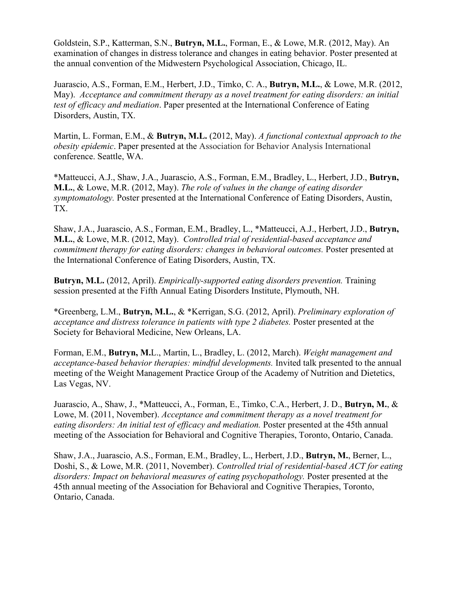Goldstein, S.P., Katterman, S.N., **Butryn, M.L.**, Forman, E., & Lowe, M.R. (2012, May). An examination of changes in distress tolerance and changes in eating behavior. Poster presented at the annual convention of the Midwestern Psychological Association, Chicago, IL.

Juarascio, A.S., Forman, E.M., Herbert, J.D., Timko, C. A., **Butryn, M.L.**, & Lowe, M.R. (2012, May). *Acceptance and commitment therapy as a novel treatment for eating disorders: an initial test of efficacy and mediation*. Paper presented at the International Conference of Eating Disorders, Austin, TX.

Martin, L. Forman, E.M., & **Butryn, M.L.** (2012, May). *A functional contextual approach to the obesity epidemic*. Paper presented at the Association for Behavior Analysis International conference. Seattle, WA.

\*Matteucci, A.J., Shaw, J.A., Juarascio, A.S., Forman, E.M., Bradley, L., Herbert, J.D., **Butryn, M.L.**, & Lowe, M.R. (2012, May). *The role of values in the change of eating disorder symptomatology.* Poster presented at the International Conference of Eating Disorders, Austin, TX.

Shaw, J.A., Juarascio, A.S., Forman, E.M., Bradley, L., \*Matteucci, A.J., Herbert, J.D., **Butryn, M.L.**, & Lowe, M.R. (2012, May). *Controlled trial of residential-based acceptance and commitment therapy for eating disorders: changes in behavioral outcomes.* Poster presented at the International Conference of Eating Disorders, Austin, TX.

**Butryn, M.L.** (2012, April). *Empirically-supported eating disorders prevention.* Training session presented at the Fifth Annual Eating Disorders Institute, Plymouth, NH.

\*Greenberg, L.M., **Butryn, M.L.**, & \*Kerrigan, S.G. (2012, April). *Preliminary exploration of acceptance and distress tolerance in patients with type 2 diabetes.* Poster presented at the Society for Behavioral Medicine, New Orleans, LA.

Forman, E.M., **Butryn, M.**L., Martin, L., Bradley, L. (2012, March). *Weight management and acceptance-based behavior therapies: mindful developments.* Invited talk presented to the annual meeting of the Weight Management Practice Group of the Academy of Nutrition and Dietetics, Las Vegas, NV.

Juarascio, A., Shaw, J., \*Matteucci, A., Forman, E., Timko, C.A., Herbert, J. D., **Butryn, M.**, & Lowe, M. (2011, November). *Acceptance and commitment therapy as a novel treatment for eating disorders: An initial test of efficacy and mediation.* Poster presented at the 45th annual meeting of the Association for Behavioral and Cognitive Therapies, Toronto, Ontario, Canada.

Shaw, J.A., Juarascio, A.S., Forman, E.M., Bradley, L., Herbert, J.D., **Butryn, M.**, Berner, L., Doshi, S., & Lowe, M.R. (2011, November). *Controlled trial of residential-based ACT for eating*  disorders: Impact on behavioral measures of eating psychopathology. Poster presented at the 45th annual meeting of the Association for Behavioral and Cognitive Therapies, Toronto, Ontario, Canada.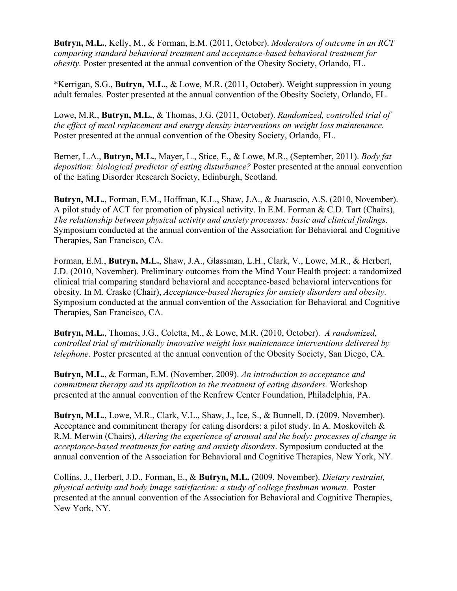**Butryn, M.L.**, Kelly, M., & Forman, E.M. (2011, October). *Moderators of outcome in an RCT comparing standard behavioral treatment and acceptance-based behavioral treatment for obesity.* Poster presented at the annual convention of the Obesity Society, Orlando, FL.

\*Kerrigan, S.G., **Butryn, M.L.**, & Lowe, M.R. (2011, October). Weight suppression in young adult females. Poster presented at the annual convention of the Obesity Society, Orlando, FL.

Lowe, M.R., **Butryn, M.L.**, & Thomas, J.G. (2011, October). *Randomized, controlled trial of the effect of meal replacement and energy density interventions on weight loss maintenance.* Poster presented at the annual convention of the Obesity Society, Orlando, FL.

Berner, L.A., **Butryn, M.L.**, Mayer, L., Stice, E., & Lowe, M.R., (September, 2011). *Body fat deposition: biological predictor of eating disturbance?* Poster presented at the annual convention of the Eating Disorder Research Society, Edinburgh, Scotland.

**Butryn, M.L.**, Forman, E.M., Hoffman, K.L., Shaw, J.A., & Juarascio, A.S. (2010, November). A pilot study of ACT for promotion of physical activity. In E.M. Forman & C.D. Tart (Chairs), *The relationship between physical activity and anxiety processes: basic and clinical findings.* Symposium conducted at the annual convention of the Association for Behavioral and Cognitive Therapies, San Francisco, CA.

Forman, E.M., **Butryn, M.L.**, Shaw, J.A., Glassman, L.H., Clark, V., Lowe, M.R., & Herbert, J.D. (2010, November). Preliminary outcomes from the Mind Your Health project: a randomized clinical trial comparing standard behavioral and acceptance-based behavioral interventions for obesity. In M. Craske (Chair), *Acceptance-based therapies for anxiety disorders and obesity.* Symposium conducted at the annual convention of the Association for Behavioral and Cognitive Therapies, San Francisco, CA.

**Butryn, M.L.**, Thomas, J.G., Coletta, M., & Lowe, M.R. (2010, October). *A randomized, controlled trial of nutritionally innovative weight loss maintenance interventions delivered by telephone*. Poster presented at the annual convention of the Obesity Society, San Diego, CA.

**Butryn, M.L.**, & Forman, E.M. (November, 2009). *An introduction to acceptance and commitment therapy and its application to the treatment of eating disorders.* Workshop presented at the annual convention of the Renfrew Center Foundation, Philadelphia, PA.

**Butryn, M.L.**, Lowe, M.R., Clark, V.L., Shaw, J., Ice, S., & Bunnell, D. (2009, November). Acceptance and commitment therapy for eating disorders: a pilot study. In A. Moskovitch  $\&$ R.M. Merwin (Chairs), *Altering the experience of arousal and the body: processes of change in acceptance-based treatments for eating and anxiety disorders*. Symposium conducted at the annual convention of the Association for Behavioral and Cognitive Therapies, New York, NY.

Collins, J., Herbert, J.D., Forman, E., & **Butryn, M.L.** (2009, November). *Dietary restraint, physical activity and body image satisfaction: a study of college freshman women.* Poster presented at the annual convention of the Association for Behavioral and Cognitive Therapies, New York, NY.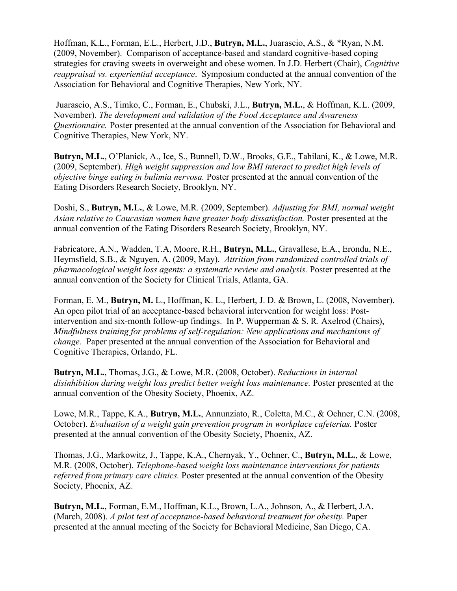Hoffman, K.L., Forman, E.L., Herbert, J.D., **Butryn, M.L.**, Juarascio, A.S., & \*Ryan, N.M. (2009, November). Comparison of acceptance-based and standard cognitive-based coping strategies for craving sweets in overweight and obese women. In J.D. Herbert (Chair), *Cognitive reappraisal vs. experiential acceptance*. Symposium conducted at the annual convention of the Association for Behavioral and Cognitive Therapies, New York, NY.

Juarascio, A.S., Timko, C., Forman, E., Chubski, J.L., **Butryn, M.L.**, & Hoffman, K.L. (2009, November). *The development and validation of the Food Acceptance and Awareness Questionnaire.* Poster presented at the annual convention of the Association for Behavioral and Cognitive Therapies, New York, NY.

**Butryn, M.L.**, O'Planick, A., Ice, S., Bunnell, D.W., Brooks, G.E., Tahilani, K., & Lowe, M.R. (2009, September). *High weight suppression and low BMI interact to predict high levels of objective binge eating in bulimia nervosa.* Poster presented at the annual convention of the Eating Disorders Research Society, Brooklyn, NY.

Doshi, S., **Butryn, M.L.**, & Lowe, M.R. (2009, September). *Adjusting for BMI, normal weight Asian relative to Caucasian women have greater body dissatisfaction.* Poster presented at the annual convention of the Eating Disorders Research Society, Brooklyn, NY.

Fabricatore, A.N., Wadden, T.A, Moore, R.H., **Butryn, M.L.**, Gravallese, E.A., Erondu, N.E., Heymsfield, S.B., & Nguyen, A. (2009, May). *Attrition from randomized controlled trials of pharmacological weight loss agents: a systematic review and analysis.* Poster presented at the annual convention of the Society for Clinical Trials, Atlanta, GA.

Forman, E. M., **Butryn, M.** L., Hoffman, K. L., Herbert, J. D. & Brown, L. (2008, November). An open pilot trial of an acceptance-based behavioral intervention for weight loss: Postintervention and six-month follow-up findings. In P. Wupperman & S. R. Axelrod (Chairs), *Mindfulness training for problems of self-regulation: New applications and mechanisms of change.* Paper presented at the annual convention of the Association for Behavioral and Cognitive Therapies, Orlando, FL.

**Butryn, M.L.**, Thomas, J.G., & Lowe, M.R. (2008, October). *Reductions in internal disinhibition during weight loss predict better weight loss maintenance.* Poster presented at the annual convention of the Obesity Society, Phoenix, AZ.

Lowe, M.R., Tappe, K.A., **Butryn, M.L.**, Annunziato, R., Coletta, M.C., & Ochner, C.N. (2008, October). *Evaluation of a weight gain prevention program in workplace cafeterias.* Poster presented at the annual convention of the Obesity Society, Phoenix, AZ.

Thomas, J.G., Markowitz, J., Tappe, K.A., Chernyak, Y., Ochner, C., **Butryn, M.L.**, & Lowe, M.R. (2008, October). *Telephone-based weight loss maintenance interventions for patients referred from primary care clinics.* Poster presented at the annual convention of the Obesity Society, Phoenix, AZ.

**Butryn, M.L.**, Forman, E.M., Hoffman, K.L., Brown, L.A., Johnson, A., & Herbert, J.A. (March, 2008). *A pilot test of acceptance-based behavioral treatment for obesity.* Paper presented at the annual meeting of the Society for Behavioral Medicine, San Diego, CA.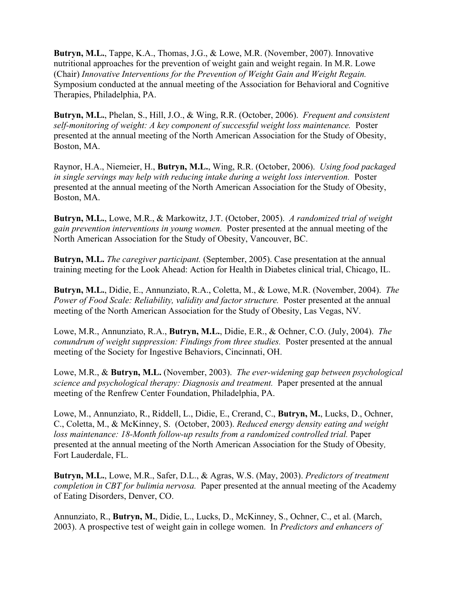**Butryn, M.L.**, Tappe, K.A., Thomas, J.G., & Lowe, M.R. (November, 2007). Innovative nutritional approaches for the prevention of weight gain and weight regain. In M.R. Lowe (Chair) *Innovative Interventions for the Prevention of Weight Gain and Weight Regain.* Symposium conducted at the annual meeting of the Association for Behavioral and Cognitive Therapies, Philadelphia, PA.

**Butryn, M.L.**, Phelan, S., Hill, J.O., & Wing, R.R. (October, 2006). *Frequent and consistent self-monitoring of weight: A key component of successful weight loss maintenance.* Poster presented at the annual meeting of the North American Association for the Study of Obesity, Boston, MA.

Raynor, H.A., Niemeier, H., **Butryn, M.L.**, Wing, R.R. (October, 2006). *Using food packaged in single servings may help with reducing intake during a weight loss intervention.* Poster presented at the annual meeting of the North American Association for the Study of Obesity, Boston, MA.

**Butryn, M.L.**, Lowe, M.R., & Markowitz, J.T. (October, 2005). *A randomized trial of weight gain prevention interventions in young women.* Poster presented at the annual meeting of the North American Association for the Study of Obesity, Vancouver, BC.

**Butryn, M.L.** *The caregiver participant.* (September, 2005). Case presentation at the annual training meeting for the Look Ahead: Action for Health in Diabetes clinical trial, Chicago, IL.

**Butryn, M.L.**, Didie, E., Annunziato, R.A., Coletta, M., & Lowe, M.R. (November, 2004). *The Power of Food Scale: Reliability, validity and factor structure.* Poster presented at the annual meeting of the North American Association for the Study of Obesity, Las Vegas, NV.

Lowe, M.R., Annunziato, R.A., **Butryn, M.L.**, Didie, E.R., & Ochner, C.O. (July, 2004). *The conundrum of weight suppression: Findings from three studies.* Poster presented at the annual meeting of the Society for Ingestive Behaviors, Cincinnati, OH.

Lowe, M.R., & **Butryn, M.L.** (November, 2003). *The ever-widening gap between psychological science and psychological therapy: Diagnosis and treatment.* Paper presented at the annual meeting of the Renfrew Center Foundation, Philadelphia, PA.

Lowe, M., Annunziato, R., Riddell, L., Didie, E., Crerand, C., **Butryn, M.**, Lucks, D., Ochner, C., Coletta, M., & McKinney, S. (October, 2003). *Reduced energy density eating and weight loss maintenance: 18-Month follow-up results from a randomized controlled trial.* Paper presented at the annual meeting of the North American Association for the Study of Obesity*,*  Fort Lauderdale, FL.

**Butryn, M.L.**, Lowe, M.R., Safer, D.L., & Agras, W.S. (May, 2003). *Predictors of treatment completion in CBT for bulimia nervosa.* Paper presented at the annual meeting of the Academy of Eating Disorders, Denver, CO.

Annunziato, R., **Butryn, M.**, Didie, L., Lucks, D., McKinney, S., Ochner, C., et al. (March, 2003). A prospective test of weight gain in college women. In *Predictors and enhancers of*